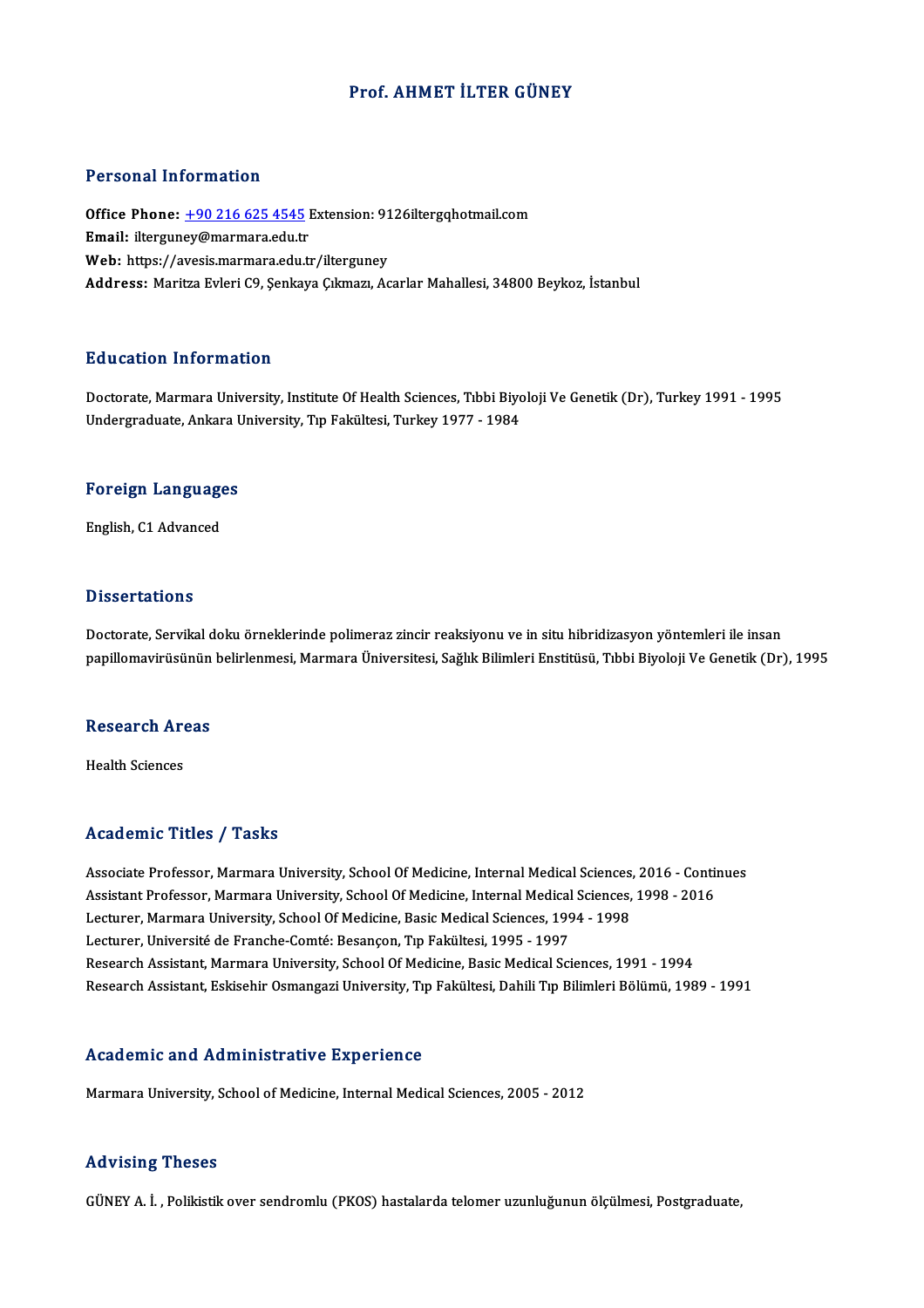#### Prof. AHMET İLTER GÜNEY

#### Personal Information

Personal Information<br>Office Phone: <u>+90 216 625 4545</u> Extension: 9126iltergqhotmail.com<br>Email: iltergunev@marmara.edu.tr Procedulation<br>Office Phone: <u>+90 216 625 4545</u><br>Email: iltergun[ey@marmara.edu.tr](tel:+90 216 625 4545) Office Phone: <u>+90 216 625 4545</u> Extension: 91<br>Email: ilterguney@marmara.edu.tr<br>Web: https://avesis.marmara.edu.tr/ilterguney<br>Address: Maritre Evleri C0 Sonkave Cilmary Ac Email: ilterguney@marmara.edu.tr<br>Web: https://avesis.marmara.edu.tr/ilterguney<br>Address: Maritza Evleri C9, Şenkaya Çıkmazı, Acarlar Mahallesi, 34800 Beykoz, İstanbul

#### Education Information

Education Information<br>Doctorate, Marmara University, Institute Of Health Sciences, Tıbbi Biyoloji Ve Genetik (Dr), Turkey 1991 - 1995<br>Undergraduate, Ankara University, Tın Fakültesi, Turkey 1977 - 1994 Luususeen IIII of Inderon<br>Doctorate, Marmara University, Institute Of Health Sciences, Tıbbi Biyo<br>Undergraduate, Ankara University, Tıp Fakültesi, Turkey 1977 - 1984

# <sub>Undergraduate, Ankara t<br>Foreign Languages</sub> F<mark>oreign Languag</mark>e<br>English, C1 Advanced

English, C1 Advanced<br>Dissertations

Dissertations<br>Doctorate, Servikal doku örneklerinde polimeraz zincir reaksiyonu ve in situ hibridizasyon yöntemleri ile insan<br>nanillomayirüsünün helirlenmesi Marmara Üniversitesi Seğluk Bilimleri Enstitüsü, Tıbbi Biyoleji p 1999't tatrome<br>Doctorate, Servikal doku örneklerinde polimeraz zincir reaksiyonu ve in situ hibridizasyon yöntemleri ile insan<br>papillomavirüsünün belirlenmesi, Marmara Üniversitesi, Sağlık Bilimleri Enstitüsü, Tıbbi Biyo

# papmomavirusunun<br>Research Areas R<mark>esearch Ar</mark><br>Health Sciences

# Academic Titles / Tasks

Academic Titles / Tasks<br>Associate Professor, Marmara University, School Of Medicine, Internal Medical Sciences, 2016 - Continues<br>Assistant Professor, Marmara University, School Of Medicine, Internal Medical Sciences, 2008 Associate Professor, Marmara University, School Of Medicine, Internal Medical Sciences, 2016 - Contin<br>Assistant Professor, Marmara University, School Of Medicine, Internal Medical Sciences, 1998 - 2016<br>Lecturer Marmara Uni Associate Professor, Marmara University, School Of Medicine, Internal Medical Sciences,<br>Assistant Professor, Marmara University, School Of Medicine, Internal Medical Sciences,<br>Lecturer, Marmara University, School Of Medici Assistant Professor, Marmara University, School Of Medicine, Internal Medical Sciences, 1998 - 2016<br>Lecturer, Marmara University, School Of Medicine, Basic Medical Sciences, 1994 - 1998<br>Lecturer, Université de Franche-Comt Research Assistant, Marmara University, School Of Medicine, Basic Medical Sciences, 1991 - 1994 Research Assistant, Eskisehir Osmangazi University, Tıp Fakültesi, Dahili Tıp Bilimleri Bölümü, 1989 - 1991

#### Academic and Administrative Experience

Marmara University, School of Medicine, Internal Medical Sciences, 2005 - 2012

#### Advising Theses

GÜNEYA. İ. ,Polikistikover sendromlu (PKOS) hastalarda telomer uzunluğununölçülmesi,Postgraduate,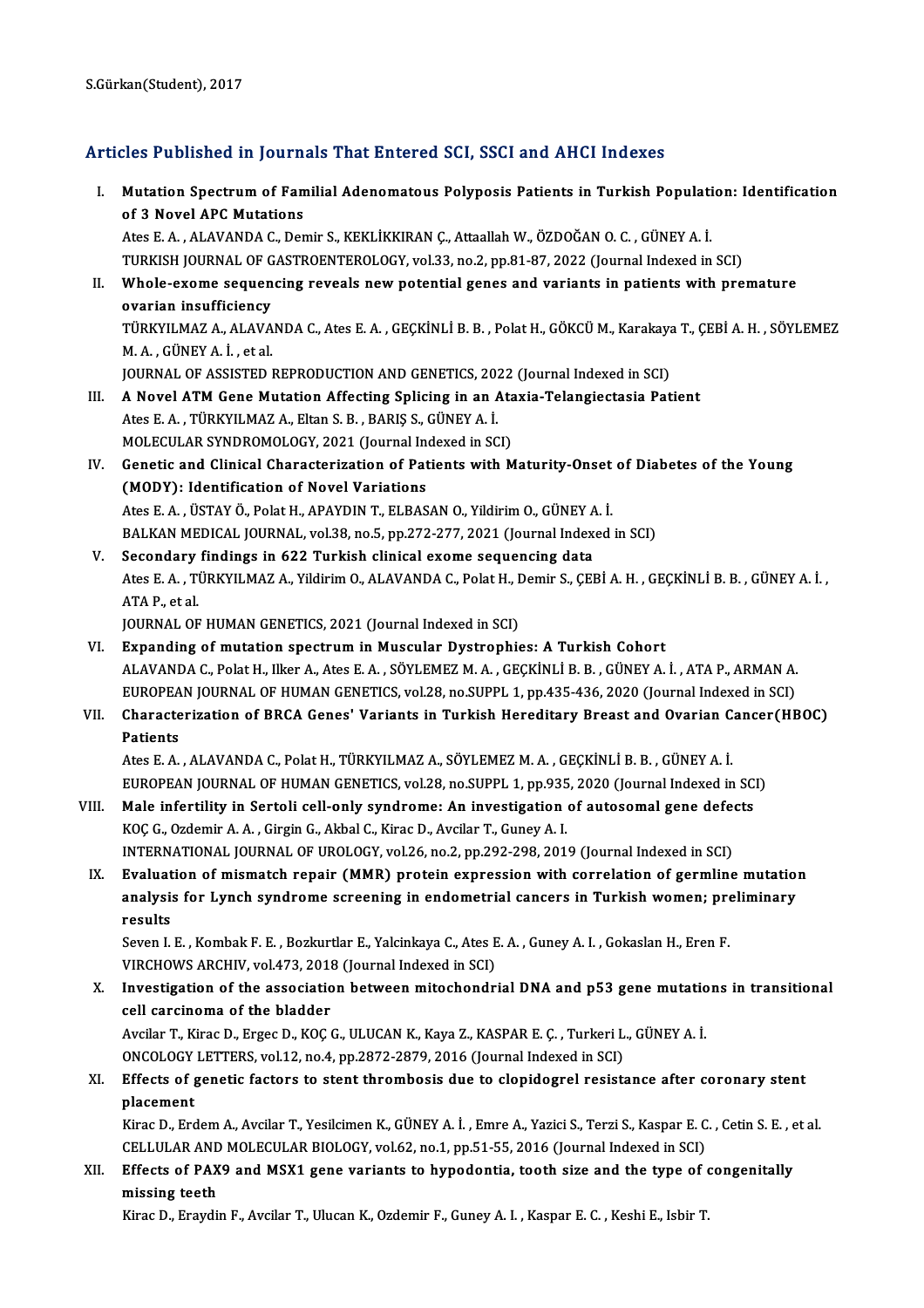### Articles Published in Journals That Entered SCI, SSCI and AHCI Indexes

- rticles Published in Journals That Entered SCI, SSCI and AHCI Indexes<br>I. Mutation Spectrum of Familial Adenomatous Polyposis Patients in Turkish Population: Identification<br>of <sup>2</sup> Novel APC Mutations Mutation Spectrum of Fan<br>of 3 Novel APC Mutations<br>Ates E.A., ALAVANDA C. Dep Mutation Spectrum of Familial Adenomatous Polyposis Patients in Turkish Populati<br>of 3 Novel APC Mutations<br>Ates E. A. , ALAVANDA C., Demir S., KEKLİKKIRAN Ç., Attaallah W., ÖZDOĞAN O. C. , GÜNEY A. İ.<br>TURKISH JOURNAL OF CAS of 3 Novel APC Mutations<br>Ates E. A. , ALAVANDA C., Demir S., KEKLİKKIRAN Ç., Attaallah W., ÖZDOĞAN O. C. , GÜNEY A. İ.<br>TURKISH JOURNAL OF GASTROENTEROLOGY, vol.33, no.2, pp.81-87, 2022 (Journal Indexed in SCI)<br>Whole exeme II. Whole-exome sequencing reveals new potential genes and variants in patients with premature ovarian insufficiency TURKISH JOURNAL OF GASTROENTEROLOGY, vol.33, no.2, pp.81-87, 2022 (Journal Indexed in SCI)
	- Whole-exome sequencing reveals new potential genes and variants in patients with premature<br>ovarian insufficiency<br>TÜRKYILMAZ A., ALAVANDA C., Ates E. A. , GEÇKİNLİ B. B. , Polat H., GÖKCÜ M., Karakaya T., ÇEBİ A. H. , SÖYLE **ovarian insufficiency<br>TÜRKYILMAZ A., ALAVA<br>M. A. , GÜNEY A. İ. , et al.**<br>JOUPMAL OE ASSISTED J TÜRKYILMAZ A., ALAVANDA C., Ates E. A. , GEÇKİNLİ B. B. , Polat H., GÖKCÜ M., Karakaya<br>M. A. , GÜNEY A. İ. , et al.<br>JOURNAL OF ASSISTED REPRODUCTION AND GENETICS, 2022 (Journal Indexed in SCI)<br>A Novel ATM Cene Mutation Aff

JOURNAL OF ASSISTED REPRODUCTION AND GENETICS, 2022 (Journal Indexed in SCI)

- M. A., GÜNEY A. İ., et al.<br>JOURNAL OF ASSISTED REPRODUCTION AND GENETICS, 2022 (Journal Indexed in SCI)<br>III. **A Novel ATM Gene Mutation Affecting Splicing in an Ataxia-Telangiectasia Patient**<br>Ates E. A., TÜRKYILMAZ A., A Novel ATM Gene Mutation Affecting Splicing in an Ata<br>Ates E. A. , TÜRKYILMAZ A., Eltan S. B. , BARIŞ S., GÜNEY A. İ.<br>MOLECULAR SYNDROMOLOGY, 2021 (Journal Indexed in SCI)<br>Constis and Clinisal Characterization of Bationts Ates E. A. , TÜRKYILMAZ A., Eltan S. B. , BARIŞ S., GÜNEY A. İ.<br>MOLECULAR SYNDROMOLOGY, 2021 (Journal Indexed in SCI)<br>IV. Genetic and Clinical Characterization of Patients with Maturity-Onset of Diabetes of the Young<br>(MODY
- MOLECULAR SYNDROMOLOGY, 2021 (Journal Inconduction of Pat<br>Genetic and Clinical Characterization of Pat<br>(MODY): Identification of Novel Variations<br>Ates E.A., USTAV Ö. Polst H. ARAYDIN T. ELBAS Genetic and Clinical Characterization of Patients with Maturity-Onset<br>(MODY): Identification of Novel Variations<br>Ates E. A. , ÜSTAY Ö., Polat H., APAYDIN T., ELBASAN O., Yildirim O., GÜNEY A. İ.<br>PALKAN MEDICAL JOURNAL .vol (MODY): Identification of Novel Variations<br>Ates E. A. , ÜSTAY Ö., Polat H., APAYDIN T., ELBASAN O., Yildirim O., GÜNEY A. İ.<br>BALKAN MEDICAL JOURNAL, vol.38, no.5, pp.272-277, 2021 (Journal Indexed in SCI)<br>Secondary finding Ates E. A., ÜSTAY Ö., Polat H., APAYDIN T., ELBASAN O., Yildirim O., GÜNEY A<br>BALKAN MEDICAL JOURNAL, vol.38, no.5, pp.272-277, 2021 (Journal Index<br>V. Secondary findings in 622 Turkish clinical exome sequencing data<br>Ates E.
- BALKAN MEDICAL JOURNAL, vol.38, no.5, pp.272-277, 2021 (Journal Indexed in SCI)<br>Secondary findings in 622 Turkish clinical exome sequencing data<br>Ates E. A. , TÜRKYILMAZ A., Yildirim O., ALAVANDA C., Polat H., Demir S., ÇEB **Secondary<br>Ates E. A. , Ti<br>ATA P., et al.<br>JOUPNAL OF** Ates E. A. , TÜRKYILMAZ A., Yildirim O., ALAVANDA C., Polat H., I<br>ATA P., et al.<br>JOURNAL OF HUMAN GENETICS, 2021 (Journal Indexed in SCI)<br>Eynanding of mutation spectrum in Mussular Dystrophis ATA P., et al.<br>JOURNAL OF HUMAN GENETICS, 2021 (Journal Indexed in SCI)<br>VI. Expanding of mutation spectrum in Muscular Dystrophies: A Turkish Cohort

- JOURNAL OF HUMAN GENETICS, 2021 (Journal Indexed in SCI)<br><mark>Expanding of mutation spectrum in Muscular Dystrophies: A Turkish Cohort</mark><br>ALAVANDA C., Polat H., Ilker A., Ates E. A. , SÖYLEMEZ M. A. , GEÇKİNLİ B. B. , GÜNEY A. İ Expanding of mutation spectrum in Muscular Dystrophies: A Turkish Cohort<br>ALAVANDA C., Polat H., Ilker A., Ates E. A. , SÖYLEMEZ M. A. , GEÇKİNLİ B. B. , GÜNEY A. İ. , ATA P., ARMAN A.<br>EUROPEAN JOURNAL OF HUMAN GENETICS, vo ALAVANDA C., Polat H., Ilker A., Ates E. A. , SÖYLEMEZ M. A. , GEÇKİNLİ B. B. , GÜNEY A. İ. , ATA P., ARMAN A.<br>EUROPEAN JOURNAL OF HUMAN GENETICS, vol.28, no.SUPPL 1, pp.435-436, 2020 (Journal Indexed in SCI)<br>VII. Characte
- EUROPEA<br>Characte<br>Patients Characterization of BRCA Genes' Variants in Turkish Hereditary Breast and Ovarian C.<br>Patients<br>Ates E. A. , ALAVANDA C., Polat H., TÜRKYILMAZ A., SÖYLEMEZ M. A. , GEÇKİNLİ B. B. , GÜNEY A. İ.<br>EUROPEAN JOURNAL OF HUMAN CENET Patients<br>Ates E. A. , ALAVANDA C., Polat H., TÜRKYILMAZ A., SÖYLEMEZ M. A. , GEÇKİNLİ B. B. , GÜNEY A. İ.

EUROPEAN JOURNAL OF HUMAN GENETICS, vol.28, no.SUPPL 1, pp.935, 2020 (Journal Indexed in SCI)

- VIII. Male infertility in Sertoli cell-only syndrome: An investigation of autosomal gene defects<br>KOC G., Ozdemir A. A., Girgin G., Akbal C., Kirac D., Avcilar T., Guney A. I. INTERNATIONAL JOURNAL OF UROLOGY, vol.26, no.2, pp.292-298, 2019 (Journal Indexed in SCI) KOÇ G., Ozdemir A. A. , Girgin G., Akbal C., Kirac D., Avcilar T., Guney A. I.<br>INTERNATIONAL JOURNAL OF UROLOGY, vol.26, no.2, pp.292-298, 2019 (Journal Indexed in SCI)<br>IX. Evaluation of mismatch repair (MMR) protein expre
- INTERNATIONAL JOURNAL OF UROLOGY, vol.26, no.2, pp.292-298, 2019 (Journal Indexed in SCI)<br>Evaluation of mismatch repair (MMR) protein expression with correlation of germline mutatio:<br>analysis for Lynch syndrome screening i Evaluat<br>analysis<br>results<br><sup>Sovon I</sup> analysis for Lynch syndrome screening in endometrial cancers in Turkish women; pre<br>results<br>Seven I. E. , Kombak F. E. , Bozkurtlar E., Yalcinkaya C., Ates E. A. , Guney A. I. , Gokaslan H., Eren F.<br>VIRCHOWS ARCHIV vol.473-

results<br>Seven I. E. , Kombak F. E. , Bozkurtlar E., Yalcinkaya C., Ates E<br>VIRCHOWS ARCHIV, vol.473, 2018 (Journal Indexed in SCI)<br>Investigation of the association between mitochondr Seven I. E. , Kombak F. E. , Bozkurtlar E., Yalcinkaya C., Ates E. A. , Guney A. I. , Gokaslan H., Eren F.<br>VIRCHOWS ARCHIV, vol.473, 2018 (Journal Indexed in SCI)<br>X. Investigation of the association between mitochondrial D

VIRCHOWS ARCHIV, vol.473, 2018<br>Investigation of the association<br>cell carcinoma of the bladder<br>Avgilar T. Kiros D. Erges D. KOC ( Investigation of the association between mitochondrial DNA and p53 gene mutation<br>Cell carcinoma of the bladder<br>Avcilar T., Kirac D., Ergec D., KOÇ G., ULUCAN K., Kaya Z., KASPAR E. Ç. , Turkeri L., GÜNEY A. İ.<br>ONCOLOCY LET

cell carcinoma of the bladder<br>Avcilar T., Kirac D., Ergec D., KOÇ G., ULUCAN K., Kaya Z., KASPAR E. Ç. , Turkeri L<br>ONCOLOGY LETTERS, vol.12, no.4, pp.2872-2879, 2016 (Journal Indexed in SCI)<br>Effects of genetic fectors to s Avcilar T., Kirac D., Ergec D., KOÇ G., ULUCAN K., Kaya Z., KASPAR E. Ç. , Turkeri L., GÜNEY A. İ.<br>ONCOLOGY LETTERS, vol.12, no.4, pp.2872-2879, 2016 (Journal Indexed in SCI)<br>XI. Effects of genetic factors to stent thrombo

ONCOLOGY LETTERS, vol.12, no.4, pp.2872-2879, 2016 (Journal Indexed in SCI)<br>Effects of genetic factors to stent thrombosis due to clopidogrel resist<br>placement Effects of genetic factors to stent thrombosis due to clopidogrel resistance after coronary stent<br>placement<br>Kirac D., Erdem A., Avcilar T., Yesilcimen K., GÜNEY A. İ. , Emre A., Yazici S., Terzi S., Kaspar E. C. , Cetin S.

Kirac D., Erdem A., Avcilar T., Yesilcimen K., GÜNEY A. İ., Emre A., Yazici S., Terzi S., Kaspar E. C., Cetin S. E., et al. Kirac D., Erdem A., Avcilar T., Yesilcimen K., GÜNEY A. İ. , Emre A., Yazici S., Terzi S., Kaspar E. C. , Cetin S. E. , e<br>CELLULAR AND MOLECULAR BIOLOGY, vol.62, no.1, pp.51-55, 2016 (Journal Indexed in SCI)<br>XII. Effects o

CELLULAR AND MOLECULAR BIOLOGY, vol.62, no.1, pp.51-55, 2016 (Journal Indexed in SCI)<br>Effects of PAX9 and MSX1 gene variants to hypodontia, tooth size and the type of c<br>missing teeth<br>Kirac D., Eraydin F., Avcilar T., Uluca Effects of PAX9 and MSX1 gene variants to hypodontia, tooth size and the type of (<br>missing teeth<br>Kirac D., Eraydin F., Avcilar T., Ulucan K., Ozdemir F., Guney A. I. , Kaspar E. C. , Keshi E., Isbir T.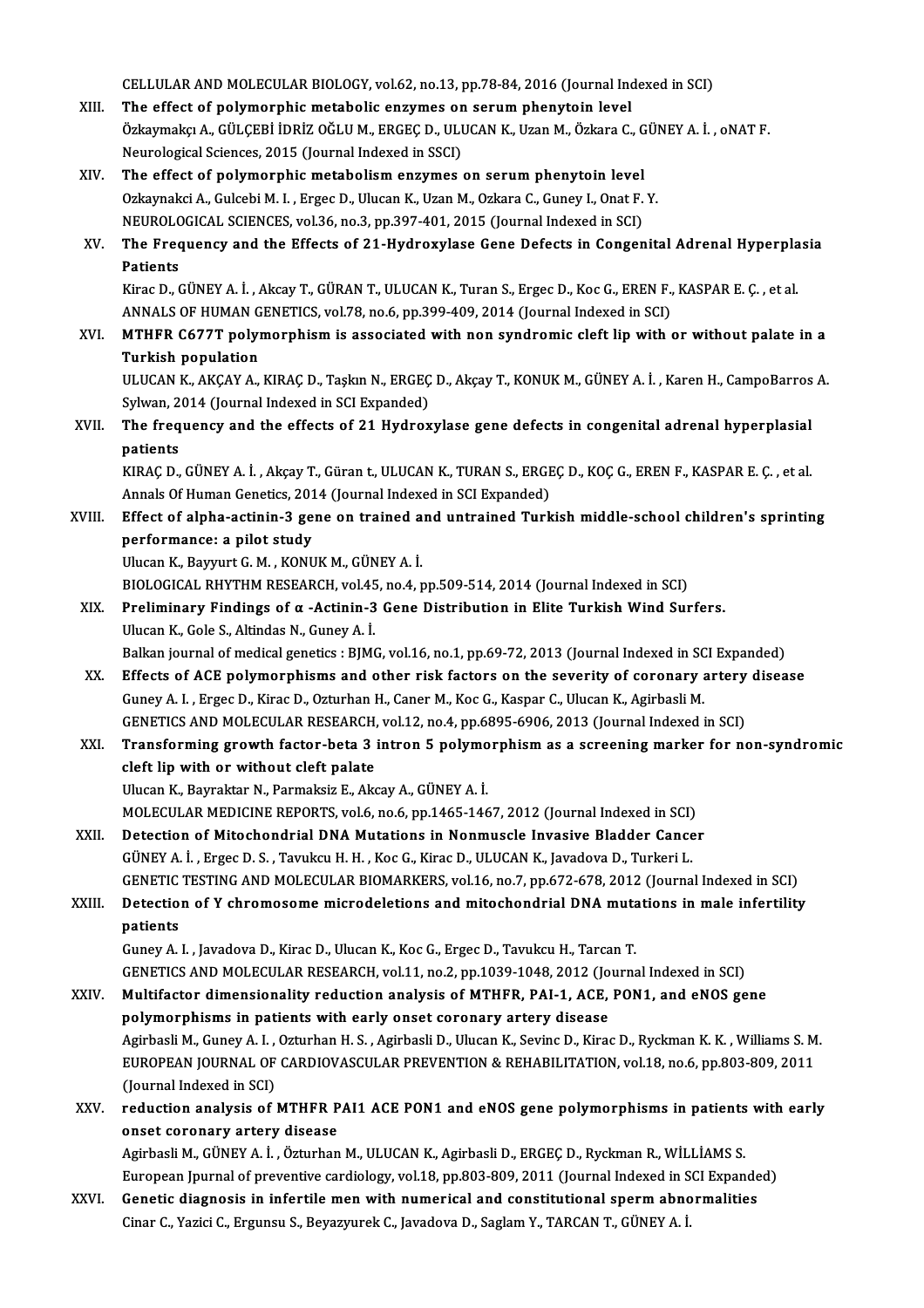CELLULAR AND MOLECULAR BIOLOGY, vol.62, no.13, pp.78-84, 2016 (Journal Indexed in SCI)<br>The effect of nelumernhis metabolis engumes on segum phenutain level

- CELLULAR AND MOLECULAR BIOLOGY, vol.62, no.13, pp.78-84, 2016 (Journal Inc<br>XIII. The effect of polymorphic metabolic enzymes on serum phenytoin level<br>Örkeypoka A. CÜLCERLİDRİZ QĞLUM, ERCEC D. ULUCAN K. Uzan M. Örkeypo CELLULAR AND MOLECULAR BIOLOGY, vol.62, no.13, pp.78-84, 2016 (Journal Indexed in SCI)<br>The effect of polymorphic metabolic enzymes on serum phenytoin level<br>Özkaymakçı A., GÜLÇEBİ İDRİZ OĞLU M., ERGEÇ D., ULUCAN K., Uzan M. The effect of polymorphic metabolic enzymes on<br>Özkaymakçı A., GÜLÇEBİ İDRİZ OĞLU M., ERGEÇ D., ULI<br>Neurological Sciences, 2015 (Journal Indexed in SSCI)<br>The effect of polymorphis metabolism enzymes Neurological Sciences, 2015 (Journal Indexed in SSCI)<br>XIV. The effect of polymorphic metabolism enzymes on serum phenytoin level
- Neurological Sciences, 2015 (Journal Indexed in SSCI)<br>The effect of polymorphic metabolism enzymes on serum phenytoin level<br>Ozkaynakci A., Gulcebi M. I. , Ergec D., Ulucan K., Uzan M., Ozkara C., Guney I., Onat F. Y.<br>NEUPO The effect of polymorphic metabolism enzymes on serum phenytoin level<br>Ozkaynakci A., Gulcebi M. I. , Ergec D., Ulucan K., Uzan M., Ozkara C., Guney I., Onat F.<br>NEUROLOGICAL SCIENCES, vol.36, no.3, pp.397-401, 2015 (Journal NEUROLOGICAL SCIENCES, vol.36, no.3, pp.397-401, 2015 (Journal Indexed in SCI)
- XV. The Frequency and the Effects of 21-Hydroxylase Gene Defects in Congenital Adrenal Hyperplasia The Frequency and the Effects of 21-Hydroxylase Gene Defects in Congenital Adrenal Hyperpla<br>Patients<br>Kirac D., GÜNEY A. İ. , Akcay T., GÜRAN T., ULUCAN K., Turan S., Ergec D., Koc G., EREN F., KASPAR E. Ç. , et al.<br>ANNALS

Patients<br>Kirac D., GÜNEY A. İ. , Akcay T., GÜRAN T., ULUCAN K., Turan S., Ergec D., Koc G., EREN F.,<br>ANNALS OF HUMAN GENETICS, vol.78, no.6, pp.399-409, 2014 (Journal Indexed in SCI)<br>MTHER CEZZT polymorphism is assosiated Kirac D., GÜNEY A. İ. , Akcay T., GÜRAN T., ULUCAN K., Turan S., Ergec D., Koc G., EREN F., KASPAR E. Ç. , et al.<br>ANNALS OF HUMAN GENETICS, vol.78, no.6, pp.399-409, 2014 (Journal Indexed in SCI)<br>XVI. MTHFR C677T polymorph

ANNALS OF HUMAN GENETICS, vol.78, no.6, pp.399-409, 2014 (Journal Indexed in SCI)<br>MTHFR C677T polymorphism is associated with non syndromic cleft lip with or without palate in a<br>Turkish population MTHFR C677T polymorphism is associated with non syndromic cleft lip with or without palate in a<br>Turkish population<br>ULUCAN K., AKÇAY A., KIRAÇ D., Taşkın N., ERGEÇ D., Akçay T., KONUK M., GÜNEY A. İ. , Karen H., CampoBarros

Turkish population<br>ULUCAN K., AKÇAY A., KIRAÇ D., Taşkın N., ERGEÇ<br>Sylwan, 2014 (Journal Indexed in SCI Expanded)<br>The frequency and the effects of 21 Hydnov ULUCAN K., AKÇAY A., KIRAÇ D., Taşkın N., ERGEÇ D., Akçay T., KONUK M., GÜNEY A. İ. , Karen H., CampoBarros<br>Sylwan, 2014 (Journal Indexed in SCI Expanded)<br>XVII. The frequency and the effects of 21 Hydroxylase gene defe

# Sylwan, 2014 (Journal Indexed in SCI Expanded)<br>The frequency and the effects of 21 Hydroxylase gene defects in congenital adrenal hyperplasial<br>patients The frequency and the effects of 21 Hydroxylase gene defects in congenital adrenal hyperplasial<br>patients<br>KIRAÇ D., GÜNEY A. İ. , Akçay T., Güran t., ULUCAN K., TURAN S., ERGEÇ D., KOÇ G., EREN F., KASPAR E. Ç. , et al.<br>Ann

patients<br>KIRAÇ D., GÜNEY A. İ. , Akçay T., Güran t., ULUCAN K., TURAN S., ERGI<br>Annals Of Human Genetics, 2014 (Journal Indexed in SCI Expanded)<br>Effect of alpha astinin 3 sone on trained and untrained Turk KIRAÇ D., GÜNEY A. İ. , Akçay T., Güran t., ULUCAN K., TURAN S., ERGEÇ D., KOÇ G., EREN F., KASPAR E. Ç. , et al.<br>Annals Of Human Genetics, 2014 (Journal Indexed in SCI Expanded)<br>XVIII. Effect of alpha-actinin-3 gene on tr

### Annals Of Human Genetics, 2014 (Journal Indexed in SCI Expanded)<br>Effect of alpha-actinin-3 gene on trained and untrained Turl<br>performance: a pilot study<br>Ulucan K., Bayyurt G. M., KONUK M., GÜNEY A. İ. Effect of alpha-actinin-3 gene on trained and untrained Turkish middle-school children's sprinting performance: a pilot study<br>Ulucan K., Bayyurt G. M. , KONUK M., GÜNEY A. İ.<br>BIOLOGICAL RHYTHM RESEARCH, vol.45, no.4, pp.509-514, 2014 (Journal Indexed in SCI)<br>Preliminary Eindings of g. Actinin 3 Cone Distribution in Elit

### XIX. Preliminary Findings of  $\alpha$  -Actinin-3 Gene Distribution in Elite Turkish Wind Surfers.<br>Ulucan K., Gole S., Altindas N., Guney A. İ. BIOLOGICAL RHYTHM RESEARCH, vol.45<br>Preliminary Findings of α -Actinin-3<br>Ulucan K., Gole S., Altindas N., Guney A. İ.<br>Balkan jaurnal of medisəl senatics : BIM( Preliminary Findings of α -Actinin-3 Gene Distribution in Elite Turkish Wind Surfers.<br>Ulucan K., Gole S., Altindas N., Guney A. İ.<br>Balkan journal of medical genetics : BJMG, vol.16, no.1, pp.69-72, 2013 (Journal Indexed i

XX. Effects of ACE polymorphisms and other risk factors on the severity of coronary artery disease<br>Guney A. I., Ergec D., Kirac D., Ozturhan H., Caner M., Koc G., Kaspar C., Ulucan K., Agirbasli M. Balkan journal of medical genetics : BJMG, vol.16, no.1, pp.69-72, 2013 (Journal Indexed in SC)<br>Effects of ACE polymorphisms and other risk factors on the severity of coronary and the severity of coronary and the several C Effects of ACE polymorphisms and other risk factors on the severity of coronary artery<br>Guney A. I. , Ergec D., Kirac D., Ozturhan H., Caner M., Koc G., Kaspar C., Ulucan K., Agirbasli M.<br>GENETICS AND MOLECULAR RESEARCH, vo

## XXI. Transforming growth factor-beta 3 intron 5 polymorphism as a screening marker for non-syndromic<br>cleft lip with or without cleft palate GENETICS AND MOLECULAR RESEARCH,<br>Transforming growth factor-beta 3<br>cleft lip with or without cleft palate cleft lip with or without cleft palate<br>Ulucan K., Bayraktar N., Parmaksiz E., Akcay A., GÜNEY A. İ.<br>MOLECULAR MEDICINE REPORTS, vol.6, no.6, pp.1465-1467, 2012 (Journal Indexed in SCI)<br>Petestion of Mitoshandrial DNA Mutati

Ulucan K., Bayraktar N., Parmaksiz E., Akcay A., GÜNEY A. İ.

- Ulucan K., Bayraktar N., Parmaksiz E., Akcay A., GÜNEY A. İ.<br>MOLECULAR MEDICINE REPORTS, vol.6, no.6, pp.1465-1467, 2012 (Journal Indexed in SCI)<br>XXII. Detection of Mitochondrial DNA Mutations in Nonmuscle Invasive Bladder Detection of Mitochondrial DNA Mutations in Nonmuscle Invasive Bladder Cancer<br>GÜNEY A. İ. , Ergec D. S. , Tavukcu H. H. , Koc G., Kirac D., ULUCAN K., Javadova D., Turkeri L. Detection of Mitochondrial DNA Mutations in Nonmuscle Invasive Bladder Cancer<br>GÜNEY A. İ. , Ergec D. S. , Tavukcu H. H. , Koc G., Kirac D., ULUCAN K., Javadova D., Turkeri L.<br>GENETIC TESTING AND MOLECULAR BIOMARKERS, vol.1 GÜNEY A. İ. , Ergec D. S. , Tavukcu H. H. , Koc G., Kirac D., ULUCAN K., Javadova D., Turkeri L.<br>GENETIC TESTING AND MOLECULAR BIOMARKERS, vol.16, no.7, pp.672-678, 2012 (Journal Indexed in SCI)<br>XXIII. Detection of Y chrom
- GENETIC<br>Detectio<br>patients<br>Cunev A Detection of Y chromosome microdeletions and mitochondrial DNA muta<br>patients<br>Guney A. I. , Javadova D., Kirac D., Ulucan K., Koc G., Ergec D., Tavukcu H., Tarcan T.<br>CENETICS AND MOLECULAP PESEARCH Vol.1.1, no.2, nn.1029,10 patients<br>Guney A. I. , Javadova D., Kirac D., Ulucan K., Koc G., Ergec D., Tavukcu H., Tarcan T.<br>GENETICS AND MOLECULAR RESEARCH, vol.11, no.2, pp.1039-1048, 2012 (Journal Indexed in SCI)

Guney A. I. , Javadova D., Kirac D., Ulucan K., Koc G., Ergec D., Tavukcu H., Tarcan T.<br>GENETICS AND MOLECULAR RESEARCH, vol.11, no.2, pp.1039-1048, 2012 (Journal Indexed in SCI)<br>XXIV. Multifactor dimensionality reduction GENETICS AND MOLECULAR RESEARCH, vol.11, no.2, pp.1039-1048, 2012 (Jo<br>Multifactor dimensionality reduction analysis of MTHFR, PAI-1, ACE,<br>polymorphisms in patients with early onset coronary artery disease<br>Agisbacli M. Cuno Multifactor dimensionality reduction analysis of MTHFR, PAI-1, ACE, PON1, and eNOS gene<br>polymorphisms in patients with early onset coronary artery disease<br>Agirbasli M., Guney A. I. , Ozturhan H. S. , Agirbasli D., Ulucan K polymorphisms in patients with early onset coronary artery disease<br>Agirbasli M., Guney A. I. , Ozturhan H. S. , Agirbasli D., Ulucan K., Sevinc D., Kirac D., Ryckman K. K. , Williams S. M<br>EUROPEAN JOURNAL OF CARDIOVASCULAR Agirbasli M., Guney A. I. ,<br>EUROPEAN JOURNAL OF<br>(Journal Indexed in SCI)<br>reduction analysis of EUROPEAN JOURNAL OF CARDIOVASCULAR PREVENTION & REHABILITATION, vol.18, no.6, pp.803-809, 2011<br>(Journal Indexed in SCI)<br>XXV. reduction analysis of MTHFR PAI1 ACE PON1 and eNOS gene polymorphisms in patients with early<br>ones

# (Journal Indexed in SCI)<br>reduction analysis of MTHFR P<br>onset coronary artery disease<br>Agishaeli M. CÜNEYA L. Ögturban reduction analysis of MTHFR PAI1 ACE PON1 and eNOS gene polymorphisms in patients<br>onset coronary artery disease<br>Agirbasli M., GÜNEY A. İ. , Özturhan M., ULUCAN K., Agirbasli D., ERGEÇ D., Ryckman R., WİLLİAMS S.<br>Euronean I

onset coronary artery disease<br>Agirbasli M., GÜNEY A. İ. , Özturhan M., ULUCAN K., Agirbasli D., ERGEÇ D., Ryckman R., WİLLİAMS S.<br>European Jpurnal of preventive cardiology, vol.18, pp.803-809, 2011 (Journal Indexed in SCI European Jpurnal of preventive cardiology, vol.18, pp.803-809, 2011 (Journal Indexed in SCI Expanded)<br>XXVI. Genetic diagnosis in infertile men with numerical and constitutional sperm abnormalities

Cinar C., Yazici C., Ergunsu S., Beyazyurek C., Javadova D., Saglam Y., TARCAN T., GÜNEY A. İ.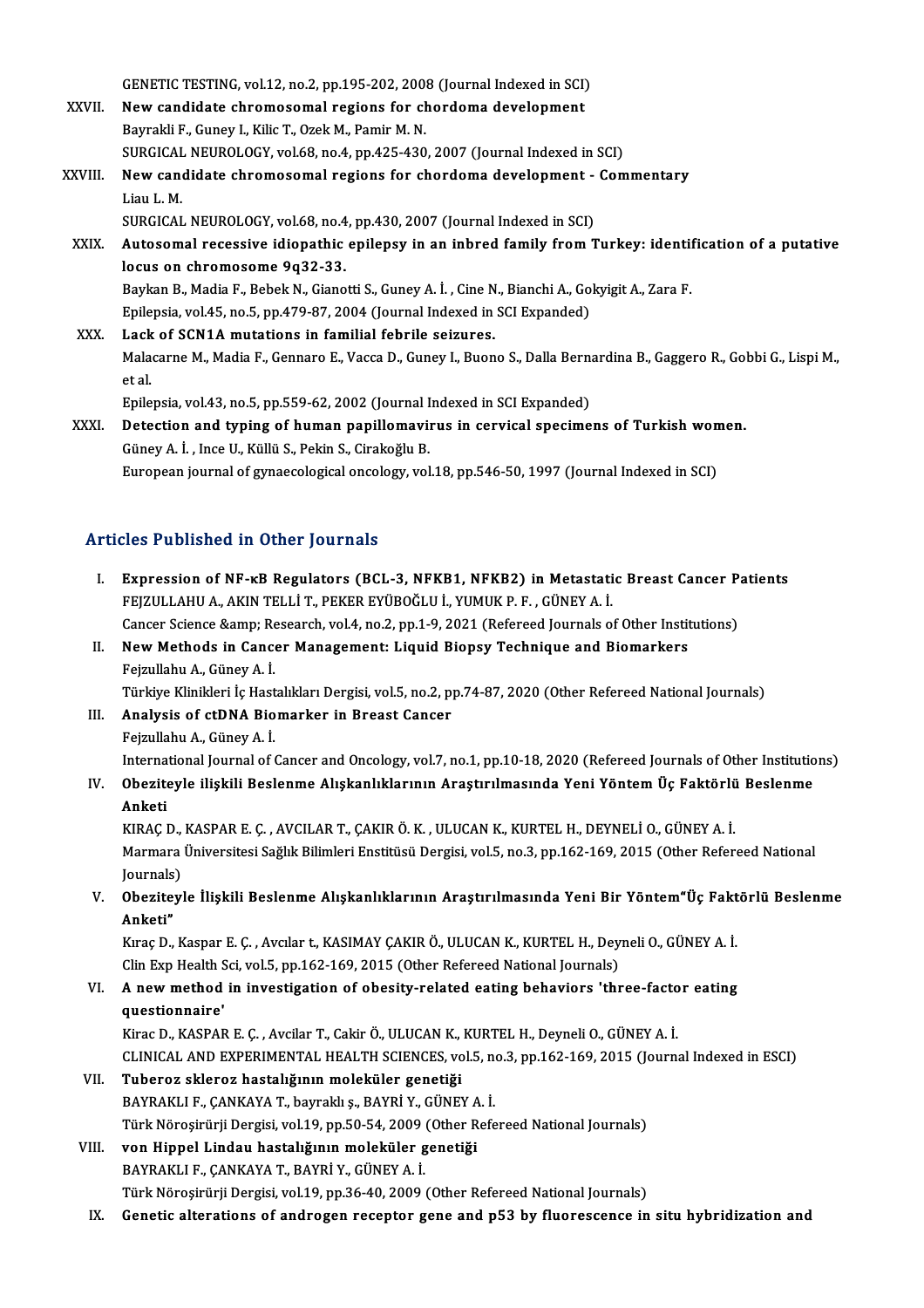GENETIC TESTING, vol.12, no.2, pp.195-202, 2008 (Journal Indexed in SCI)<br>New candidate chromosomal regions for shardoms development

- GENETIC TESTING, vol.12, no.2, pp.195-202, 2008 (Journal Indexed in SCI)<br>XXVII. New candidate chromosomal regions for chordoma development GENETIC TESTING, vol.12, no.2, pp.195-202, 200;<br>New candidate chromosomal regions for cheaptain in the Bayrakli F., Guney I., Kilic T., Ozek M., Pamir M. N. New candidate chromosomal regions for chordoma development<br>Bayrakli F., Guney I., Kilic T., Ozek M., Pamir M. N.<br>SURGICAL NEUROLOGY, vol.68, no.4, pp.425-430, 2007 (Journal Indexed in SCI)<br>New candidate chromosomal regions Bayrakli F., Guney I., Kilic T., Ozek M., Pamir M. N.<br>SURGICAL NEUROLOGY, vol.68, no.4, pp.425-430, 2007 (Journal Indexed in SCI)<br>XXVIII. New candidate chromosomal regions for chordoma development - Commentary
- SURGICAL<br>New canon<br>Liau L. M.<br>SURCICAL New candidate chromosomal regions for chordoma development -<br>Liau L. M.<br>SURGICAL NEUROLOGY, vol.68, no.4, pp.430, 2007 (Journal Indexed in SCI)<br>Autosomal resessive idiopathis epilepsy in an inheed family from T
	- SURGICAL NEUROLOGY, vol.68, no.4, pp.430, 2007 (Journal Indexed in SCI)
- Liau L. M.<br>SURGICAL NEUROLOGY, vol.68, no.4, pp.430, 2007 (Journal Indexed in SCI)<br>XXIX. Autosomal recessive idiopathic epilepsy in an inbred family from Turkey: identification of a putative<br>locus on chromosome 9q32-33. Autosomal recessive idiopathic epilepsy in an inbred family from Turkey: identified<br>Iocus on chromosome 9q32-33.<br>Baykan B., Madia F., Bebek N., Gianotti S., Guney A. İ. , Cine N., Bianchi A., Gokyigit A., Zara F.<br>Epilopsia locus on chromosome 9q32-33.<br>Baykan B., Madia F., Bebek N., Gianotti S., Guney A. İ. , Cine N., Bianchi A., Go<br>Epilepsia, vol.45, no.5, pp.479-87, 2004 (Journal Indexed in SCI Expanded)<br>Lask of SCN1A mutations in familial

Baykan B., Madia F., Bebek N., Gianotti S., Guney A. İ., Cine N<br>Epilepsia, vol.45, no.5, pp.479-87, 2004 (Journal Indexed in<br>XXX. Lack of SCN1A mutations in familial febrile seizures.<br>Makazama M. Madia E. Cannara E. Vassa Epilepsia, vol.45, no.5, pp.479-87, 2004 (Journal Indexed in SCI Expanded)<br>Lack of SCN1A mutations in familial febrile seizures.<br>Malacarne M., Madia F., Gennaro E., Vacca D., Guney I., Buono S., Dalla Bernardina B., Gagger Lack<br>Mala<br>et al. Malacarne M., Madia F., Gennaro E., Vacca D., Guney I., Buono S., Dalla Berna<br>et al.<br>Epilepsia, vol.43, no.5, pp.559-62, 2002 (Journal Indexed in SCI Expanded)<br>Detection and tuning of buman popillomayinus in capyical anosi et al.<br>Epilepsia, vol.43, no.5, pp.559-62, 2002 (Journal Indexed in SCI Expanded)<br>XXXI. Detection and typing of human papillomavirus in cervical specimens of Turkish women.<br>Cinev A. Lhae II, Killij S. Pokin S. Cinekeğlu B.

Epilepsia, vol.43, no.5, pp.559-62, 2002 (Journal Indexed in SCI Expanded)<br>Detection and typing of human papillomavirus in cervical specimens of Turkish wor<br>Güney A. İ., Ince U., Küllü S., Pekin S., Cirakoğlu B.<br>European j Detection and typing of human papillomavirus in cervical specimens of Turkish won<br>Güney A. İ. , Ince U., Küllü S., Pekin S., Cirakoğlu B.<br>European journal of gynaecological oncology, vol.18, pp.546-50, 1997 (Journal Indexe

### Articles Published in Other Journals

I. Expression of NF-κB Regulators (BCL-3, NFKB1, NFKB2) in Metastatic Breast Cancer Patients<br>- Expression of NF-κB Regulators (BCL-3, NFKB1, NFKB2) in Metastatic Breast Cancer Patients<br>- EFIZILLAHLLA, AKIN TELLI T. DEKER FEJZULLAHUA., AKIN TELLİ T, PEKER EYÜBOĞLU İ., YUMUK P. F. , GÜNEYA. İ.<br>FEJZULLAHU A., AKIN TELLİ T., PEKER EYÜBOĞLU İ., YUMUK P. F. , GÜNEYA. İ.<br>Cancer Science Semn: Bessarsh vel.4, ne.2, nn.1, 9, 2021 (Befereed Jaurnals Expression of NF-kB Regulators (BCL-3, NFKB1, NFKB2) in Metastatic Breast Cancer P:<br>FEJZULLAHU A., AKIN TELLİ T., PEKER EYÜBOĞLU İ., YUMUK P. F. , GÜNEY A. İ.<br>Cancer Science &amp; Research, vol.4, no.2, pp.1-9, 2021 (Refer FEJZULLAHU A., AKIN TELLİ T., PEKER EYÜBOĞLU İ., YUMUK P. F., GÜNEY A. İ.<br>Cancer Science &amp; Research, vol.4, no.2, pp.1-9, 2021 (Refereed Journals of Other Instit<br>II. New Methods in Cancer Management: Liquid Biopsy Tech

### Cancer Science & Re<br>New Methods in Cance<br>Fejzullahu A., Güney A. İ.<br>Türkiye Klinikleri İ.e Hest New Methods in Cancer Management: Liquid Biopsy Technique and Biomarkers<br>Fejzullahu A., Güney A. İ.<br>Türkiye Klinikleri İç Hastalıkları Dergisi, vol.5, no.2, pp.74-87, 2020 (Other Refereed National Journals)<br>Analysis of stD Fejzullahu A., Güney A. İ.<br>Türkiye Klinikleri İç Hastalıkları Dergisi, vol.5, no.2, pp.74-87, 2020 (Other Refereed National Journals)<br>III. Analysis of ctDNA Biomarker in Breast Cancer

- FejzulahuA.,GüneyA. İ. Analysis of ctDNA Biomarker in Breast Cancer<br>Fejzullahu A., Güney A. İ.<br>International Journal of Cancer and Oncology, vol.7, no.1, pp.10-18, 2020 (Refereed Journals of Other Institutions)
- IV. Obeziteyle ilişkili Beslenme Alışkanlıklarının Araştırılmasında Yeni YöntemÜç Faktörlü Beslenme Interna<br>Obezite<br>Anketi<br>EIRAC I

KIRAÇD.,KASPARE.Ç. ,AVCILART.,ÇAKIRÖ.K. ,ULUCANK.,KURTELH.,DEYNELİO.,GÜNEYA. İ. Anketi<br>KIRAÇ D., KASPAR E. Ç. , AVCILAR T., ÇAKIR Ö. K. , ULUCAN K., KURTEL H., DEYNELİ O., GÜNEY A. İ.<br>Marmara Üniversitesi Sağlık Bilimleri Enstitüsü Dergisi, vol.5, no.3, pp.162-169, 2015 (Other Refereed National KIRAÇ D.,<br>Marmara<br>Journals)<br>Obezitev Marmara Üniversitesi Sağlık Bilimleri Enstitüsü Dergisi, vol.5, no.3, pp.162-169, 2015 (Other Refereed National<br>Journals)<br>V. Obeziteyle İlişkili Beslenme Alışkanlıklarının Araştırılmasında Yeni Bir Yöntem"Üç Faktörlü B

Journals)<br>V. Obeziteyle İlişkili Beslenme Alışkanlıklarının Araştırılmasında Yeni Bir Yöntem"Üç Faktörlü Beslenme<br>Anketi" Obeziteyle İlişkili Beslenme Alışkanlıklarının Araştırılmasında Yeni Bir Yöntem"Üç Fakt<br>Anketi"<br>Kıraç D., Kaspar E. Ç. , Avcılar t., KASIMAY ÇAKIR Ö., ULUCAN K., KURTEL H., Deyneli O., GÜNEY A. İ.<br>Clin Evn Hoalth Sci vel E

Anketi"<br>Kıraç D., Kaspar E. Ç. , Avcılar t., KASIMAY ÇAKIR Ö., ULUCAN K., KURTEL H., Dey<br>Clin Exp Health Sci, vol.5, pp.162-169, 2015 (Other Refereed National Journals)<br>A new method in investigation of obesity related esti Kıraç D., Kaspar E. Ç. , Avcılar t., KASIMAY ÇAKIR Ö., ULUCAN K., KURTEL H., Deyneli O., GÜNEY A. İ.<br>Clin Exp Health Sci, vol.5, pp.162-169, 2015 (Other Refereed National Journals)<br>VI. A new method in investigation of obes

# Clin Exp Health S<br>**A** new method<br>questionnaire'<br><sup>Vince D</sup>, <sup>VASDAE</sup> A new method in investigation of obesity-related eating behaviors 'three-facto<br>questionnaire'<br>Kirac D., KASPAR E. Ç. , Avcilar T., Cakir Ö., ULUCAN K., KURTEL H., Deyneli O., GÜNEY A. İ.<br>CLINICAL AND EXPERIMENTAL HEALTH SC

questionnaire'<br>Kirac D., KASPAR E. Ç. , Avcilar T., Cakir Ö., ULUCAN K., KURTEL H., Deyneli O., GÜNEY A. İ.<br>CLINICAL AND EXPERIMENTAL HEALTH SCIENCES, vol.5, no.3, pp.162-169, 2015 (Journal Indexed in ESCI)<br>Tubereg ekleneg Kirac D., KASPAR E. Ç. , Avcilar T., Cakir Ö., ULUCAN K., KURTEL H., Deyneli O., GÜNEY A. İ.<br>CLINICAL AND EXPERIMENTAL HEALTH SCIENCES, vol.5, no.3, pp.162-169, 2015 (Journa<br>VII. **Tuberoz skleroz hastalığının moleküler** 

- CLINICAL AND EXPERIMENTAL HEALTH SCIENCES, vol.5, n<br><mark>Tuberoz skleroz hastalığının moleküler genetiği</mark><br>BAYRAKLI F., ÇANKAYA T., bayraklı ş., BAYRİ Y., GÜNEY A. İ.<br>Türk Nörosirürü Dersisi, vol.19, np.50,54,2009 (Other Befe Türk Nörosirürji Dergisi, vol.19, pp.50-54, 2009 (Other Refereed National Journals)
- VIII. von Hippel Lindau hastalığının moleküler genetiği BAYRAKLIF.,ÇANKAYAT.,BAYRİY.,GÜNEYA. İ. Türk Nöroşirürji Dergisi, vol.19, pp.36-40, 2009 (Other Refereed National Journals)
	- IX. Genetic alterations of androgen receptor gene and p53 by fluorescence in situ hybridization and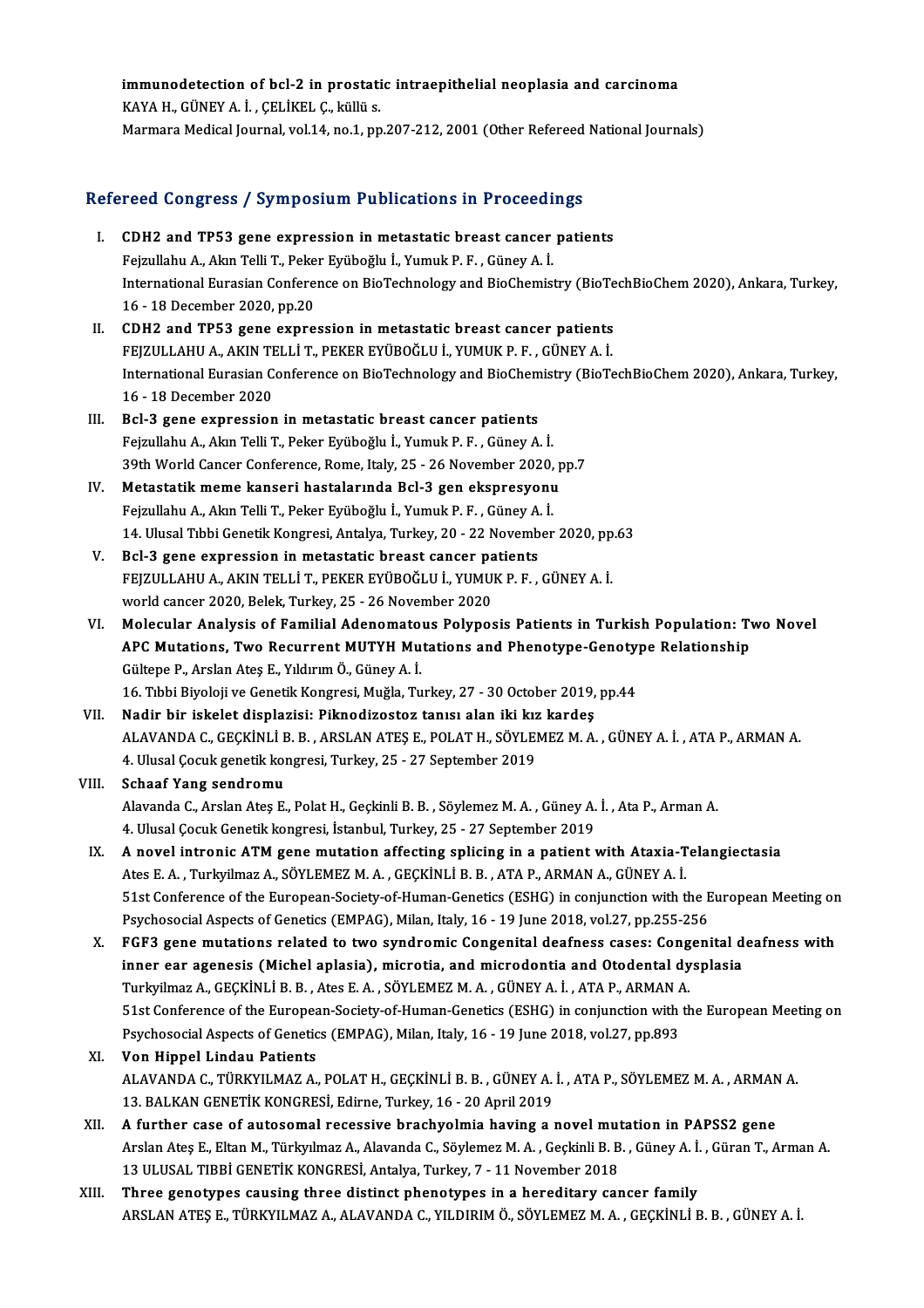## immunodetection of bcl-2 in prostatic intraepithelial neoplasia and carcinoma immunodetection of bcl-2 in prostati<br>KAYA H., GÜNEY A. İ. , ÇELİKEL Ç., küllü s.<br>Maymara Medical Jaurnal val 14 no 1 nn immunodetection of bcl-2 in prostatic intraepithelial neoplasia and carcinoma<br>KAYA H., GÜNEY A. İ. , ÇELİKEL Ç., küllü s.<br>Marmara Medical Journal, vol.14, no.1, pp.207-212, 2001 (Other Refereed National Journals)

# marmara medical journal, vol.14, no.1, pp.207-212, 2001 (other kelereed<br>Refereed Congress / Symposium Publications in Proceedings

- efereed Congress / Symposium Publications in Proceedings<br>I. CDH2 and TP53 gene expression in metastatic breast cancer patients<br>Foimulaby A. Alm Telli T. Beker Eviboğlu İ. Yumuk B. E. Cüney A. İ. I. CDH2 and TP53 gene expression in metastatic breast cancer patients International Eurasian Conference on BioTechnology and BioChemistry (BioTechBioChem 2020), Ankara, Turkey,<br>16 - 18 December 2020, pp.20 Fejzullahu A., Akın Telli T., Peker Eyüboğlu İ., Yumuk P. F., Güney A. İ. International Eurasian Conference on BioTechnology and BioChemistry (BioTe<br>16 - 18 December 2020, pp.20<br>II. CDH2 and TP53 gene expression in metastatic breast cancer patients<br>EEIZIII LAHLA AVIN TELLI T BEVER EVÜROČLIJ VIMI
- 16 18 December 2020, pp.20<br>CDH2 and TP53 gene expression in metastatic breast cancer patients<br>FEJZULLAHU A., AKIN TELLİ T., PEKER EYÜBOĞLU İ., YUMUK P. F. , GÜNEY A. İ.<br>International Eurosian Conference en BioTechnology International Eurasian Conference on BioTechnology and BioChemistry (BioTechBioChem 2020), Ankara, Turkey,<br>16 - 18 December 2020 FEJZULLAHU A., AKIN TELLİ T., PEKER EYÜBOĞLU İ., YUMUK P. F., GÜNEY A. İ.
- III. Bcl-3 gene expression in metastatic breast cancer patients Fejzullahu A., Akın Telli T., Peker Eyüboğlu İ., Yumuk P. F., Güney A. İ. Bcl-3 gene expression in metastatic breast cancer patients<br>Fejzullahu A., Akın Telli T., Peker Eyüboğlu İ., Yumuk P. F. , Güney A. İ.<br>39th World Cancer Conference, Rome, Italy, 25 - 26 November 2020, pp.7<br>Metastatik meme k Fejzullahu A., Akın Telli T., Peker Eyüboğlu İ., Yumuk P. F. , Güney A. İ.<br>39th World Cancer Conference, Rome, Italy, 25 - 26 November 2020, p.<br>IV. Metastatik meme kanseri hastalarında Bcl-3 gen ekspresyonu<br>Fejmillebu A. A
- 39th World Cancer Conference, Rome, Italy, 25 26 November 2020,<br>Metastatik meme kanseri hastalarında Bcl-3 gen ekspresyonu<br>Fejzullahu A., Akın Telli T., Peker Eyüboğlu İ., Yumuk P. F. , Güney A. İ.<br>14 Hlusal Tıbbi Canati Metastatik meme kanseri hastalarında Bcl-3 gen ekspresyonu<br>Fejzullahu A., Akın Telli T., Peker Eyüboğlu İ., Yumuk P. F. , Güney A. İ.<br>14. Ulusal Tıbbi Genetik Kongresi, Antalya, Turkey, 20 - 22 November 2020, pp.63
- V. Bcl-3 gene expression in metastatic breast cancer patients 14. Ulusal Tıbbi Genetik Kongresi, Antalya, Turkey, 20 - 22 November 2020, pp<br>Bcl-3 gene expression in metastatic breast cancer patients<br>FEJZULLAHU A., AKIN TELLİ T., PEKER EYÜBOĞLU İ., YUMUK P. F. , GÜNEY A. İ.<br>world canc Bcl-3 gene expression in metastatic breast cancer pa<br>FEJZULLAHU A., AKIN TELLİ T., PEKER EYÜBOĞLU İ., YUMU!<br>world cancer 2020, Belek, Turkey, 25 - 26 November 2020<br>Melecular Analysis of Eamilial Adapamataus Balynas
- VI. Molecular Analysis of Familial Adenomatous Polyposis Patients in Turkish Population: Two Novel world cancer 2020, Belek, Turkey, 25 - 26 November 2020<br>Molecular Analysis of Familial Adenomatous Polyposis Patients in Turkish Population: Ty<br>APC Mutations, Two Recurrent MUTYH Mutations and Phenotype-Genotype Relationsh Molecular Analysis of Familial Adenomato<br>APC Mutations, Two Recurrent MUTYH Mu<br>Gültepe P., Arslan Ateş E., Yıldırım Ö., Güney A. İ.<br>16 Tıbbi Biyoloji ve Conetik Kongresi Muğla Tu APC Mutations, Two Recurrent MUTYH Mutations and Phenotype-Genoty<br>Gültepe P., Arslan Ateş E., Yıldırım Ö., Güney A. İ.<br>16. Tıbbi Biyoloji ve Genetik Kongresi, Muğla, Turkey, 27 - 30 October 2019, pp.44<br>Nadin bir iskelet di Gültepe P., Arslan Ateş E., Yıldırım Ö., Güney A. İ.<br>16. Tıbbi Biyoloji ve Genetik Kongresi, Muğla, Turkey, 27 - 30 October 2019, pp.44<br>VII. Nadir bir iskelet displazisi: Piknodizostoz tanısı alan iki kız kardeş
- 16. Tıbbi Biyoloji ve Genetik Kongresi, Muğla, Turkey, 27 30 October 2019, pp.44<br>Nadir bir iskelet displazisi: Piknodizostoz tanısı alan iki kız kardeş<br>ALAVANDA C., GEÇKİNLİ B. B. , ARSLAN ATEŞ E., POLAT H., SÖYLEMEZ M. Nadir bir iskelet displazisi: Piknodizostoz tanısı alan iki kız<br>ALAVANDA C., GEÇKİNLİ B. B. , ARSLAN ATEŞ E., POLAT H., SÖYLEI<br>4. Ulusal Çocuk genetik kongresi, Turkey, 25 - 27 September 2019<br>Sebaaf Yang sandnamıı

### 4. Ulusal Çocuk genetik kongresi, Turkey, 25 - 27 September 2019<br>VIII. Schaaf Yang sendromu 4. Ulusal Çocuk genetik kongresi, Turkey, 25 - 27 September 2019<br>Schaaf Yang sendromu<br>Alavanda C., Arslan Ateş E., Polat H., Geçkinli B. B. , Söylemez M. A. , Güney A. İ. , Ata P., Arman A.<br>4. Ulusal Cosuk Constik kongresi Schaaf Yang sendromu<br>Alavanda C., Arslan Ateş E., Polat H., Geçkinli B. B. , Söylemez M. A. , Güney A.<br>4. Ulusal Çocuk Genetik kongresi, İstanbul, Turkey, 25 - 27 September 2019<br>A. novel intronis ATM gene mutation effectin Alavanda C., Arslan Ateş E., Polat H., Geçkinli B. B. , Söylemez M. A. , Güney A. İ. , Ata P., Arman A.<br>4. Ulusal Çocuk Genetik kongresi, İstanbul, Turkey, 25 - 27 September 2019<br>IX. A novel intronic ATM gene mutation affe

- 4. Ulusal Çocuk Genetik kongresi, İstanbul, Turkey, 25 27 September 2019<br>A novel intronic ATM gene mutation affecting splicing in a patient with Ataxia-T<br>Ates E. A. , Turkyilmaz A., SÖYLEMEZ M. A. , GEÇKİNLİ B. B. , ATA 51st Conference of the European-Society-of-Human-Genetics (ESHG) in conjunction with the European Meeting on<br>Psychosocial Aspects of Genetics (EMPAG), Milan, Italy, 16 - 19 June 2018, vol.27, pp.255-256 Ates E. A., Turkyilmaz A., SÖYLEMEZ M. A., GEÇKİNLİ B. B., ATA P., ARMAN A., GÜNEY A. İ. S1st Conference of the European-Society-of-Human-Genetics (ESHG) in conjunction with the European Meeting or<br>Psychosocial Aspects of Genetics (EMPAG), Milan, Italy, 16 - 19 June 2018, vol.27, pp.255-256<br>X. FGF3 gene mutati
- Psychosocial Aspects of Genetics (EMPAG), Milan, Italy, 16 19 June 2018, vol.27, pp.255-256<br>FGF3 gene mutations related to two syndromic Congenital deafness cases: Congenital d<br>inner ear agenesis (Michel aplasia), microt FGF3 gene mutations related to two syndromic Congenital deafness cases: Cong<br>inner ear agenesis (Michel aplasia), microtia, and microdontia and Otodental dy<br>Turkyilmaz A., GEÇKİNLİ B. B. , Ates E. A. , SÖYLEMEZ M. A. , GÜN inner ear agenesis (Michel aplasia), microtia, and microdontia and Otodental dysplasia<br>Turkyilmaz A., GEÇKİNLİ B. B., Ates E. A., SÖYLEMEZ M. A., GÜNEY A. İ., ATA P., ARMAN A.<br>51st Conference of the European-Society-of-Hum Turkyilmaz A., GEÇKİNLİ B. B., Ates E. A., SÖYLEMEZ M. A., GÜNEY A. İ., ATA P., ARMAN A.

### XI. Von Hippel Lindau Patients Psychosocial Aspects of Genetics (EMPAG), Milan, Italy, 16 - 19 June 2018, vol.27, pp.893<br>**Von Hippel Lindau Patients**<br>ALAVANDA C., TÜRKYILMAZ A., POLAT H., GEÇKİNLİ B. B. , GÜNEY A. İ. , ATA P., SÖYLEMEZ M. A. , ARMAN A.<br> Von Hippel Lindau Patients<br>ALAVANDA C., TÜRKYILMAZ A., POLAT H., GEÇKİNLİ B. B. , GÜNEY A.<br>13. BALKAN GENETİK KONGRESİ, Edirne, Turkey, 16 - 20 April 2019<br>A furthar 2020 of autosamal resessive brashyalmia haying a ı ALAVANDA C., TÜRKYILMAZ A., POLAT H., GEÇKİNLİ B. B., GÜNEY A. İ., ATA P., SÖYLEMEZ M. A., ARMAN<br>13. BALKAN GENETİK KONGRESİ, Edirne, Turkey, 16 - 20 April 2019<br>XII. A further case of autosomal recessive brachyolmia having

- 13. BALKAN GENETİK KONGRESİ, Edirne, Turkey, 16 20 April 2019<br>A further case of autosomal recessive brachyolmia having a novel mutation in PAPSS2 gene<br>Arslan Ateş E., Eltan M., Türkyılmaz A., Alavanda C., Söylemez M. A. 13ULUSAL TIBBİGENETİKKONGRESİ,Antalya,Turkey,7 -11November 2018
- XIII. Three genotypes causing three distinct phenotypes in a hereditary cancer family ARSLANATEŞE.,TÜRKYILMAZA.,ALAVANDAC.,YILDIRIMÖ.,SÖYLEMEZM.A. ,GEÇKİNLİB.B. ,GÜNEYA. İ.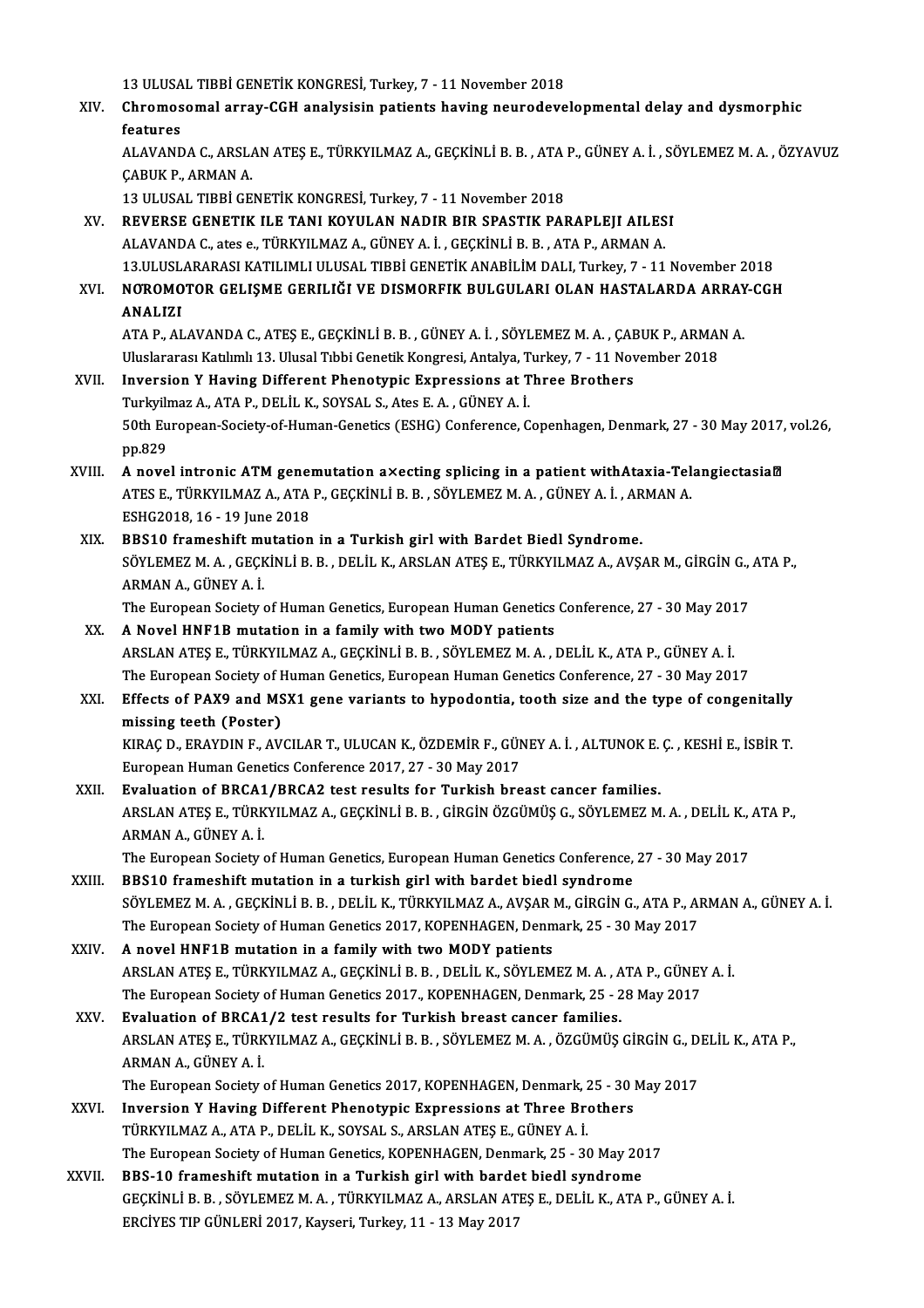13 ULUSAL TIBBİ GENETİK KONGRESİ, Turkey, 7 - 11 November 2018<br>Chromosomal array, CCH analysisin patients haying novradaya

XIV. Chromosomal array-CGH analysisin patients having neurodevelopmental delay and dysmorphic 13 ULUSA<br>Chromos<br>features<br>ALAVAND Chromosomal array-CGH analysisin patients having neurodevelopmental delay and dysmorphic<br>features<br>ALAVANDA C., ARSLAN ATEŞ E., TÜRKYILMAZ A., GEÇKİNLİ B. B. , ATA P., GÜNEY A. İ. , SÖYLEMEZ M. A. , ÖZYAVUZ<br>CARIIK B. ARMAN

**features<br>ALAVANDA C., ARSL/<br>ÇABUK P., ARMAN A.<br>12 ULUSAL TIPRI CE** ALAVANDA C., ARSLAN ATEŞ E., TÜRKYILMAZ A., GEÇKİNLİ B. B. , ATA<br>ÇABUK P., ARMAN A.<br>13 ULUSAL TIBBİ GENETİK KONGRESİ, Turkey, 7 - 11 November 2018<br>REVERSE GENETIK JI E TANI KOYULAN NADIR BIR SPASTIK RAJ CABUK P., ARMAN A.<br>13 ULUSAL TIBBİ GENETİK KONGRESİ, Turkey, 7 - 11 November 2018<br>XV. REVERSE GENETIK ILE TANI KOYULAN NADIR BIR SPASTIK PARAPLEJI AILESI

ALAVANDAC.,ates e.,TÜRKYILMAZA.,GÜNEYA. İ. ,GEÇKİNLİB.B. ,ATAP.,ARMANA. REVERSE GENETIK ILE TANI KOYULAN NADIR BIR SPASTIK PARAPLEJI AILESI<br>ALAVANDA C., ates e., TÜRKYILMAZ A., GÜNEY A. İ. , GEÇKİNLİ B. B. , ATA P., ARMAN A.<br>13.ULUSLARARASI KATILIMLI ULUSAL TIBBİ GENETİK ANABİLİM DALI, Turkey, ALAVANDA C., ates e., TÜRKYILMAZ A., GÜNEY A. İ. , GEÇKİNLİ B. B. , ATA P., ARMAN A.<br>13.ULUSLARARASI KATILIMLI ULUSAL TIBBİ GENETİK ANABİLİM DALI, Turkey, 7 - 11 November 2018<br>20. NOROMOTOR GELIŞME GERILIĞI VE DISMORFIK BU

# 13.ULUSL<br>**NOROMO**<br>ANALIZI NOROMOTOR GELIŞME GERILIĞI VE DISMORFIK BULGULARI OLAN HASTALARDA ARRAY<br>ANALIZI<br>ATA P., ALAVANDA C., ATEŞ E., GEÇKİNLİ B. B. , GÜNEY A. İ. , SÖYLEMEZ M. A. , ÇABUK P., ARMAN A.<br>Uluslararası Katılımlı 12. Ulusel Tıbbi Censt

```
ANALIZI<br>ATA P., ALAVANDA C., ATEŞ E., GEÇKİNLİ B. B. , GÜNEY A. İ. , SÖYLEMEZ M. A. , ÇABUK P., ARMAN A.<br>Uluslararası Katılımlı 13. Ulusal Tıbbi Genetik Kongresi, Antalya, Turkey, 7 - 11 November 2018
ATA P., ALAVANDA C., ATEŞ E., GEÇKİNLİ B. B. , GÜNEY A. İ. , SÖYLEMEZ M. A. , ÇAE<br>Uluslararası Katılımlı 13. Ulusal Tıbbi Genetik Kongresi, Antalya, Turkey, 7 - 11 Nov<br>XVII. Inversion Y Having Different Phenotypic Expressi
```
### Uluslararası Katılımlı 13. Ulusal Tıbbi Genetik Kongresi, Antalya, T<br>Inversion Y Having Different Phenotypic Expressions at T<br>Turkyilmaz A., ATA P., DELİL K., SOYSAL S., Ates E. A. , GÜNEY A. İ.<br>E<sup>0th Euronean Sosiaty of H</sup> Inversion Y Having Different Phenotypic Expressions at Three Brothers<br>Turkyilmaz A., ATA P., DELİL K., SOYSAL S., Ates E. A. , GÜNEY A. İ.<br>50th European-Society-of-Human-Genetics (ESHG) Conference, Copenhagen, Denmark, 27 Turkyilmaz A., ATA P., DELİL K., SOYSAL S., Ates E. A. , GÜNEY A. İ.<br>50th European-Society-of-Human-Genetics (ESHG) Conference, Copenhagen, Denmark, 27 - 30 May 2017<br>pp.829<br>A novel intronic ATM genemutation a×ecting splici 50th European-Society-of-Human-Genetics (ESHG) Conference, Copenhagen, Denmark, 27 - 30 May 2017,<br>pp.829<br>XVIII. A novel intronic ATM genemutation a×ecting splicing in a patient withAtaxia-TelangiectasiaM<br>ATES E. TÜRYVI MAZ

- pp.829<br>A novel intronic ATM genemutation a×ecting splicing in a patient withAtaxia-Tel<br>ATES E., TÜRKYILMAZ A., ATA P., GEÇKİNLİ B. B. , SÖYLEMEZ M. A. , GÜNEY A. İ. , ARMAN A.<br>ESHC2018 16, 19 June 2018 A novel intronic ATM gener<br>ATES E., TÜRKYILMAZ A., ATA<br>ESHG2018, 16 - 19 June 2018<br>PPS10 frameshift mutation ATES E., TÜRKYILMAZ A., ATA P., GEÇKİNLİ B. B., SÖYLEMEZ M. A., GÜNEY A. İ., AR<br>ESHG2018, 16 - 19 June 2018<br>XIX. BBS10 frameshift mutation in a Turkish girl with Bardet Biedl Syndrome.<br>SÖYLEMEZ M. A., CECKİNLİ B. B., DELİL
- ESHG2018, 16 19 June 2018<br>BBS10 frameshift mutation in a Turkish girl with Bardet Biedl Syndrome.<br>SÖYLEMEZ M. A., GEÇKİNLİ B. B., DELİL K., ARSLAN ATEŞ E., TÜRKYILMAZ A., AVŞAR M., GİRGİN G., ATA P.,<br>ARMAN A., GÜNEY A. İ XIX. BBS10 frameshift mutation in a Turkish girl with Bardet Biedl Syndrome. SÖYLEMEZ M. A. , GEÇKİNLİ B. B. , DELİL K., ARSLAN ATEŞ E., TÜRKYILMAZ A., AVŞAR M., GİRGİN G.,<br>ARMAN A., GÜNEY A. İ.<br>The European Society of Human Genetics, European Human Genetics Conference, 27 - 30 May 2017<br>A Novel HNE

ARMAN A., GÜNEY A. İ.<br>The European Society of Human Genetics, European Human Genetics<br>XX. A Novel HNF1B mutation in a family with two MODY patients<br>ADSLAN ATES E TÜDKVILMAZ A. GECKINLI P. P. SÖVLEMEZ M. A. I. The European Society of Human Genetics, European Human Genetics Conference, 27 - 30 May 201<br>A Novel HNF1B mutation in a family with two MODY patients<br>ARSLAN ATEŞ E., TÜRKYILMAZ A., GEÇKİNLİ B. B. , SÖYLEMEZ M. A. , DELİL K XX. A Novel HNF1B mutation in a family with two MODY patients<br>ARSLAN ATES E., TÜRKYILMAZ A., GEÇKİNLİ B. B., SÖYLEMEZ M. A., DELİL K., ATA P., GÜNEY A. İ. ARSLAN ATEŞ E., TÜRKYILMAZ A., GEÇKİNLİ B. B. , SÖYLEMEZ M. A. , DELİL K., ATA P., GÜNEY A. İ.<br>The European Society of Human Genetics, European Human Genetics Conference, 27 - 30 May 2017<br>XXI. Effects of PAX9 and MSX1 gene

# The European Society of Human Genetics, European Human Genetics Conference, 27 - 30 May 2017<br>Effects of PAX9 and MSX1 gene variants to hypodontia, tooth size and the type of conger<br>missing teeth (Poster) Effects of PAX9 and MSX1 gene variants to hypodontia, tooth size and the type of congenitally<br>missing teeth (Poster)<br>KIRAÇ D., ERAYDIN F., AVCILAR T., ULUCAN K., ÖZDEMİR F., GÜNEY A. İ. , ALTUNOK E. Ç. , KESHİ E., İSBİR T.

KIRAÇ D., ERAYDIN F., AVCILAR T., ULUCAN K., ÖZDEMİR F., GÜNEY A. İ. , ALTUNOK E. Ç. , KESHİ E., İSBİR T.<br>European Human Genetics Conference 2017, 27 - 30 May 2017 KIRAÇ D., ERAYDIN F., AVCILAR T., ULUCAN K., ÖZDEMİR F., GÜNEY A. İ., ALTUNOK E.<br>European Human Genetics Conference 2017, 27 - 30 May 2017<br>XXII. Evaluation of BRCA1/BRCA2 test results for Turkish breast cancer families.<br>AB

- European Human Genetics Conference 2017, 27 30 May 2017<br><mark>Evaluation of BRCA1/BRCA2 test results for Turkish breast cancer families.</mark><br>ARSLAN ATEŞ E., TÜRKYILMAZ A., GEÇKİNLİ B. B. , GİRGİN ÖZGÜMÜŞ G., SÖYLEMEZ M. A. , DEL Evaluation of BRCA1<br>ARSLAN ATEŞ E., TÜRK<br>ARMAN A., GÜNEY A. İ.<br>The Euronean Society ARSLAN ATEŞ E., TÜRKYILMAZ A., GEÇKİNLİ B. B. , GİRGİN ÖZGÜMÜŞ G., SÖYLEMEZ M. A. , DELİL K., .<br>ARMAN A., GÜNEY A. İ.<br>The European Society of Human Genetics, European Human Genetics Conference, 27 - 30 May 2017<br>PPS10 frama ARMAN A., GÜNEY A. İ.<br>The European Society of Human Genetics, European Human Genetics Conference, 27 - 30 May 2017<br>XXIII. BBS10 frameshift mutation in a turkish girl with bardet biedl syndrome
- SÖYLEMEZ M. A. , GEÇKİNLİ B. B. , DELİL K., TÜRKYILMAZ A., AVŞAR M., GİRGİN G., ATA P., ARMAN A., GÜNEY A. İ. BBS10 frameshift mutation in a turkish girl with bardet biedl syndrome<br>SÖYLEMEZ M. A. , GEÇKİNLİ B. B. , DELİL K., TÜRKYILMAZ A., AVŞAR M., GİRGİN G., ATA P., Al<br>The European Society of Human Genetics 2017, KOPENHAGEN, Den SÖYLEMEZ M. A., GEÇKİNLİ B. B., DELİL K., TÜRKYILMAZ A., AVŞAR I<br>The European Society of Human Genetics 2017, KOPENHAGEN, Denn<br>XXIV. A novel HNF1B mutation in a family with two MODY patients
- The European Society of Human Genetics 2017, KOPENHAGEN, Denmark, 25 30 May 2017<br>A novel HNF1B mutation in a family with two MODY patients<br>ARSLAN ATEŞ E., TÜRKYILMAZ A., GEÇKİNLİ B. B. , DELİL K., SÖYLEMEZ M. A. , ATA P. A novel HNF1B mutation in a family with two MODY patients<br>ARSLAN ATEŞ E., TÜRKYILMAZ A., GEÇKİNLİ B. B. , DELİL K., SÖYLEMEZ M. A. , ATA P., GÜNEY<br>The European Society of Human Genetics 2017., KOPENHAGEN, Denmark, 25 - 28 ARSLAN ATEŞ E., TÜRKYILMAZ A., GEÇKİNLİ B. B., DELİL K., SÖYLEMEZ M. A., A<br>The European Society of Human Genetics 2017., KOPENHAGEN, Denmark, 25 - 2<br>XXV. Evaluation of BRCA1/2 test results for Turkish breast cancer familie
- The European Society of Human Genetics 2017., KOPENHAGEN, Denmark, 25 28 May 2017<br><mark>Evaluation of BRCA1/2 test results for Turkish breast cancer families.</mark><br>ARSLAN ATEŞ E., TÜRKYILMAZ A., GEÇKİNLİ B. B. , SÖYLEMEZ M. A. , Evaluation of BRCA1/2 test results for Turkish breast cancer families.<br>ARSLAN ATES E., TÜRKYILMAZ A., GEÇKİNLİ B. B. , SÖYLEMEZ M. A. , ÖZGÜMÜŞ GİRGİN G., D<br>ARMAN A., GÜNEY A. İ.<br>The European Society of Human Genetics 2017 ARSLAN ATEŞ E., TÜRKYILMAZ A., GEÇKİNLİ B. B. , SÖYLEMEZ M. A. , ÖZGÜMÜŞ GİRGİN G., D.<br>ARMAN A., GÜNEY A. İ.<br>The European Society of Human Genetics 2017, KOPENHAGEN, Denmark, 25 - 30 May 2017<br>Invarsion X Having Different P
- XXVI. Inversion Y Having Different Phenotypic Expressions at Three Brothers TÜRKYILMAZA.,ATAP.,DELİLK.,SOYSAL S.,ARSLANATEŞE.,GÜNEYA. İ. Inversion Y Having Different Phenotypic Expressions at Three Brothers<br>TÜRKYILMAZ A., ATA P., DELİL K., SOYSAL S., ARSLAN ATEŞ E., GÜNEY A. İ.<br>The European Society of Human Genetics, KOPENHAGEN, Denmark, 25 - 30 May 2017<br>PP TÜRKYILMAZ A., ATA P., DELİL K., SOYSAL S., ARSLAN ATEŞ E., GÜNEY A. İ.<br>The European Society of Human Genetics, KOPENHAGEN, Denmark, 25 - 30 May 20<br>XXVII. BBS-10 frameshift mutation in a Turkish girl with bardet biedl synd
- GEÇKİNLİ B. B. , SÖYLEMEZ M. A. , TÜRKYILMAZ A., ARSLAN ATEŞ E., DELİL K., ATA P., GÜNEY A. İ.<br>ERCİYES TIP GÜNLERİ 2017, Kayseri, Turkey, 11 13 May 2017 BBS-10 frameshift mutation in a Turkish girl with bardet biedl syndrome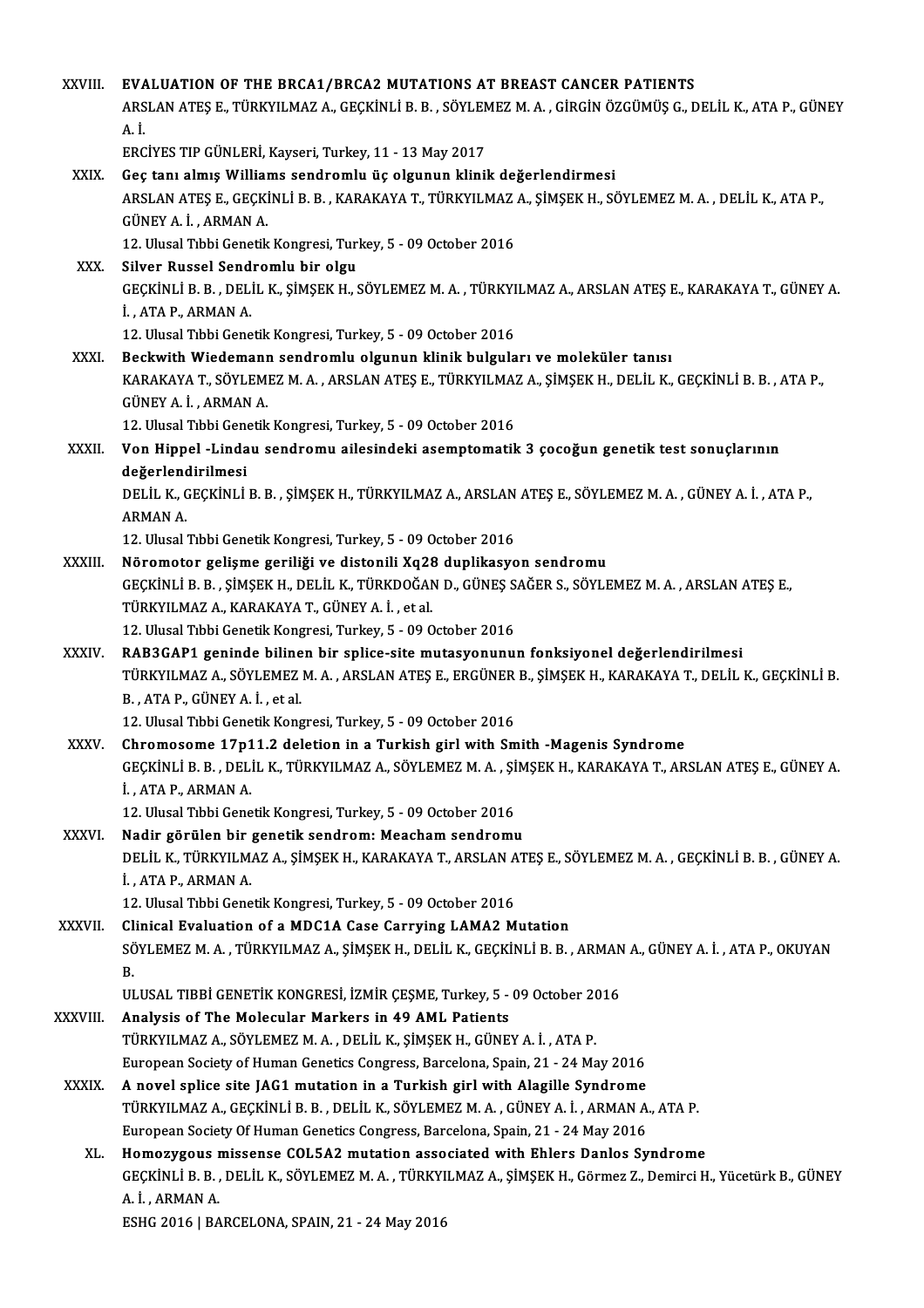| XXVIII.       | EVALUATION OF THE BRCA1/BRCA2 MUTATIONS AT BREAST CANCER PATIENTS                                                                                                                               |
|---------------|-------------------------------------------------------------------------------------------------------------------------------------------------------------------------------------------------|
|               | ARSLAN ATEŞ E., TÜRKYILMAZ A., GEÇKİNLİ B. B. , SÖYLEMEZ M. A. , GİRGİN ÖZGÜMÜŞ G., DELİL K., ATA P., GÜNEY                                                                                     |
|               | $A$ $I$                                                                                                                                                                                         |
|               | ERCİYES TIP GÜNLERİ, Kayseri, Turkey, 11 - 13 May 2017                                                                                                                                          |
| XXIX.         | Geç tanı almış Williams sendromlu üç olgunun klinik değerlendirmesi                                                                                                                             |
|               | ARSLAN ATEŞ E., GEÇKİNLİ B. B., KARAKAYA T., TÜRKYILMAZ A., ŞİMŞEK H., SÖYLEMEZ M. A., DELİL K., ATA P.,                                                                                        |
|               | GÜNEY A. İ., ARMAN A.                                                                                                                                                                           |
|               | 12. Ulusal Tıbbi Genetik Kongresi, Turkey, 5 - 09 October 2016                                                                                                                                  |
| XXX.          | Silver Russel Sendromlu bir olgu                                                                                                                                                                |
|               | GEÇKİNLİ B. B., DELİL K., ŞİMŞEK H., SÖYLEMEZ M. A., TÜRKYILMAZ A., ARSLAN ATEŞ E., KARAKAYA T., GÜNEY A.                                                                                       |
|               | İ, ATA P, ARMAN A                                                                                                                                                                               |
|               | 12. Ulusal Tıbbi Genetik Kongresi, Turkey, 5 - 09 October 2016                                                                                                                                  |
| <b>XXXI</b>   | Beckwith Wiedemann sendromlu olgunun klinik bulguları ve moleküler tanısı<br>KARAKAYA T., SÖYLEMEZ M. A., ARSLAN ATEŞ E., TÜRKYILMAZ A., ŞİMŞEK H., DELİL K., GEÇKİNLİ B. B., ATA P.,           |
|               | GÜNEY A. İ., ARMAN A.                                                                                                                                                                           |
|               | 12. Ulusal Tıbbi Genetik Kongresi, Turkey, 5 - 09 October 2016                                                                                                                                  |
| XXXII.        | Von Hippel -Lindau sendromu ailesindeki asemptomatik 3 çocoğun genetik test sonuçlarının                                                                                                        |
|               | değerlendirilmesi                                                                                                                                                                               |
|               | DELIL K., GEÇKİNLİ B. B., ŞİMŞEK H., TÜRKYILMAZ A., ARSLAN ATEŞ E., SÖYLEMEZ M. A., GÜNEY A. İ., ATA P.,                                                                                        |
|               | <b>ARMAN A.</b>                                                                                                                                                                                 |
|               | 12. Ulusal Tıbbi Genetik Kongresi, Turkey, 5 - 09 October 2016                                                                                                                                  |
| XXXIII.       | Nöromotor gelişme geriliği ve distonili Xq28 duplikasyon sendromu                                                                                                                               |
|               | GEÇKİNLİ B. B., ŞİMŞEK H., DELİL K., TÜRKDOĞAN D., GÜNEŞ SAĞER S., SÖYLEMEZ M. A., ARSLAN ATEŞ E.,                                                                                              |
|               | TÜRKYILMAZ A., KARAKAYA T., GÜNEY A. İ., et al.                                                                                                                                                 |
|               | 12. Ulusal Tıbbi Genetik Kongresi, Turkey, 5 - 09 October 2016                                                                                                                                  |
| <b>XXXIV</b>  | RAB3GAP1 geninde bilinen bir splice-site mutasyonunun fonksiyonel değerlendirilmesi<br>TÜRKYILMAZ A., SÖYLEMEZ M. A., ARSLAN ATEŞ E., ERGÜNER B., ŞİMŞEK H., KARAKAYA T., DELİL K., GEÇKİNLİ B. |
|               | B., ATA P., GÜNEY A. İ., et al.                                                                                                                                                                 |
|               | 12. Ulusal Tibbi Genetik Kongresi, Turkey, 5 - 09 October 2016                                                                                                                                  |
| <b>XXXV</b>   | Chromosome 17p11.2 deletion in a Turkish girl with Smith -Magenis Syndrome                                                                                                                      |
|               | GEÇKİNLİ B. B. , DELİL K., TÜRKYILMAZ A., SÖYLEMEZ M. A. , ŞİMŞEK H., KARAKAYA T., ARSLAN ATEŞ E., GÜNEY A.                                                                                     |
|               | İ, ATA P, ARMAN A                                                                                                                                                                               |
|               | 12. Ulusal Tıbbi Genetik Kongresi, Turkey, 5 - 09 October 2016                                                                                                                                  |
| XXXVI.        | Nadir görülen bir genetik sendrom: Meacham sendromu                                                                                                                                             |
|               | DELİL K., TÜRKYILMAZ A., ŞİMŞEK H., KARAKAYA T., ARSLAN ATEŞ E., SÖYLEMEZ M. A. , GEÇKİNLİ B. B. , GÜNEY A.                                                                                     |
|               | İ., ATA P., ARMAN A.                                                                                                                                                                            |
|               | 12. Ulusal Tıbbi Genetik Kongresi, Turkey, 5 - 09 October 2016                                                                                                                                  |
| <b>XXXVII</b> | Clinical Evaluation of a MDC1A Case Carrying LAMA2 Mutation                                                                                                                                     |
|               | SÖYLEMEZ M. A., TÜRKYILMAZ A., ŞİMŞEK H., DELİL K., GEÇKİNLİ B. B., ARMAN A., GÜNEY A. İ., ATA P., OKUYAN<br>В.                                                                                 |
|               | ULUSAL TIBBİ GENETİK KONGRESİ, İZMİR ÇEŞME, Turkey, 5 - 09 October 2016                                                                                                                         |
| XXXVIII.      | Analysis of The Molecular Markers in 49 AML Patients                                                                                                                                            |
|               | TÜRKYILMAZ A., SÖYLEMEZ M. A., DELİL K., ŞİMŞEK H., GÜNEY A. İ., ATA P.                                                                                                                         |
|               | European Society of Human Genetics Congress, Barcelona, Spain, 21 - 24 May 2016                                                                                                                 |
| <b>XXXIX</b>  | A novel splice site JAG1 mutation in a Turkish girl with Alagille Syndrome                                                                                                                      |
|               | TÜRKYILMAZ A., GEÇKİNLİ B. B. , DELİL K., SÖYLEMEZ M. A. , GÜNEY A. İ. , ARMAN A., ATA P.                                                                                                       |
|               | European Society Of Human Genetics Congress, Barcelona, Spain, 21 - 24 May 2016                                                                                                                 |
| XL.           | Homozygous missense COL5A2 mutation associated with Ehlers Danlos Syndrome                                                                                                                      |
|               | GEÇKİNLİ B. B., DELİL K., SÖYLEMEZ M. A., TÜRKYILMAZ A., ŞİMŞEK H., Görmez Z., Demirci H., Yücetürk B., GÜNEY                                                                                   |
|               | A İ , ARMAN A                                                                                                                                                                                   |
|               | ESHG 2016   BARCELONA, SPAIN, 21 - 24 May 2016                                                                                                                                                  |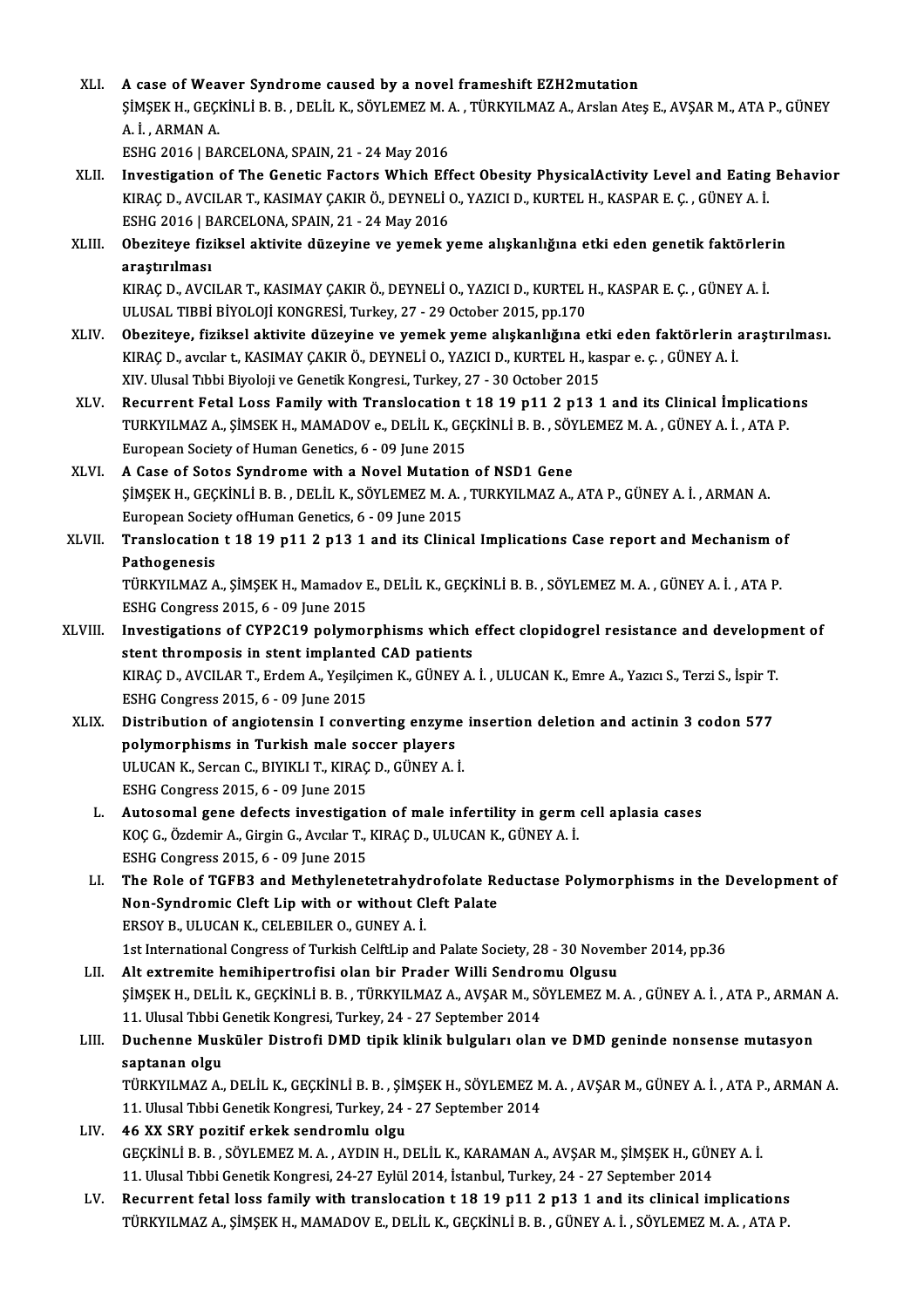XLI. A case ofWeaver Syndrome caused by a novel frameshift EZH2mutation A case of Weaver Syndrome caused by a novel frameshift EZH2mutation<br>ŞİMŞEK H., GEÇKİNLİ B. B. , DELİL K., SÖYLEMEZ M. A. , TÜRKYILMAZ A., Arslan Ateş E., AVŞAR M., ATA P., GÜNEY<br>A. İ. ARMAN A A case of Wea<br>ŞİMŞEK H., GEÇI<br>A. İ. , ARMAN A.<br>ESHC 2016 LBA ŞİMŞEK H., GEÇKİNLİ B. B. , DELİL K., SÖYLEMEZ M. A.<br>A. İ. , ARMAN A.<br>ESHG 2016 | BARCELONA, SPAIN, 21 - 24 May 2016<br>Investisation of The Censtis Festore Which Eff A. İ. , ARMAN A.<br>ESHG 2016 | BARCELONA, SPAIN, 21 - 24 May 2016<br>XLII. Investigation of The Genetic Factors Which Effect Obesity PhysicalActivity Level and Eating Behavior

- ESHG 2016 | BARCELONA, SPAIN, 21 24 May 2016<br>Investigation of The Genetic Factors Which Effect Obesity PhysicalActivity Level and Eating<br>KIRAÇ D., AVCILAR T., KASIMAY ÇAKIR Ö., DEYNELİ O., YAZICI D., KURTEL H., KASPAR E. Investigation of The Genetic Factors Which Eff<br>KIRAÇ D., AVCILAR T., KASIMAY ÇAKIR Ö., DEYNELİ (<br>ESHG 2016 | BARCELONA, SPAIN, 21 - 24 May 2016<br>Oberitave fiziksel aktivite dürevine ve yemek y KIRAÇ D., AVCILAR T., KASIMAY ÇAKIR Ö., DEYNELİ O., YAZICI D., KURTEL H., KASPAR E. Ç. , GÜNEY A. İ.<br>ESHG 2016 | BARCELONA, SPAIN, 21 - 24 May 2016<br>XLIII. Obeziteye fiziksel aktivite düzeyine ve yemek yeme alışkanlığın
- ESHG 2016 | BARCELONA, SPAIN, 21 24 May 2016<br>Obeziteye fiziksel aktivite düzeyine ve yemek yeme alışkanlığına etki eden genetik faktörlerin<br>arastırılması Obeziteye fiziksel aktivite düzeyine ve yemek yeme alışkanlığına etki eden genetik faktörler<br>araştırılması<br>KIRAÇ D., AVCILAR T., KASIMAY ÇAKIR Ö., DEYNELİ O., YAZICI D., KURTEL H., KASPAR E. Ç. , GÜNEY A. İ.<br>ULUSAL TIRRİ R

araştırılması<br>KIRAÇ D., AVCILAR T., KASIMAY ÇAKIR Ö., DEYNELİ O., YAZICI D., KURTEL I<br>ULUSAL TIBBİ BİYOLOJİ KONGRESİ, Turkey, 27 - 29 October 2015, pp.170<br>Oberiteve, fizikoel ektiyite dürevine ve yemek yeme ekekenliğine e

- XLIV. Obeziteye, fiziksel aktivite düzeyine ve yemek yeme alışkanlığına etki eden faktörlerin araştırılması. KIRAÇD.,avcılar t.,KASIMAYÇAKIRÖ.,DEYNELİO.,YAZICID.,KURTELH.,kaspar e. ç. ,GÜNEYA. İ. XIV. Ulusal Tıbbi Biyoloji ve Genetik Kongresi., Turkey, 27 - 30 October 2015
- XLV. Recurrent Fetal Loss Family with Translocation t 18 19 p11 2 p13 1 and its Clinical İmplications XIV. Ulusal Tıbbi Biyoloji ve Genetik Kongresi., Turkey, 27 - 30 October 2015<br>Recurrent Fetal Loss Family with Translocation t 18 19 p11 2 p13 1 and its Clinical İmplicatio<br>TURKYILMAZ A., ŞİMSEK H., MAMADOV e., DELİL K., G Recurrent Fetal Loss Family with Translocation t<br>TURKYILMAZ A., ŞİMSEK H., MAMADOV e., DELİL K., GE<br>European Society of Human Genetics, 6 - 09 June 2015<br>A Gase of Satas Sundrama with a Naval Mutation TURKYILMAZ A., ŞİMSEK H., MAMADOV e., DELİL K., GEÇKİNLİ B. B. , SÖY<br>European Society of Human Genetics, 6 - 09 June 2015<br>XLVI. A Case of Sotos Syndrome with a Novel Mutation of NSD1 Gene<br>SIMSEK H. CECKİNLİ B. B. DELİL K.
- European Society of Human Genetics, 6 09 June 2015<br>A Case of Sotos Syndrome with a Novel Mutation of NSD1 Gene<br>ŞİMŞEK H., GEÇKİNLİ B. B. , DELİL K., SÖYLEMEZ M. A. , TURKYILMAZ A., ATA P., GÜNEY A. İ. , ARMAN A.<br>European A Case of Sotos Syndrome with a Novel Mutatior<br>ŞİMŞEK H., GEÇKİNLİ B. B. , DELİL K., SÖYLEMEZ M. A. ,<br>European Society ofHuman Genetics, 6 - 09 June 2015<br>Translagation t 18 19 n11 2 n12 1 and its Gliniss SIMSEK H., GEÇKINLI B. B. , DELIL K., SÖYLEMEZ M. A. , TURKYILMAZ A., ATA P., GÜNEY A. İ. , ARMAN A.<br>European Society ofHuman Genetics, 6 - 09 June 2015<br>XLVII. Translocation t 18 19 p11 2 p13 1 and its Clinical Implica
- European Society of Human Genetics, 6 09 June 2015<br>Translocation t 18 19 p11 2 p13 1 and its Clinical Implications Case report and Mechanism of<br>Pathogenesis Translocation t 18 19 p11 2 p13 1 and its Clinical Implications Case report and Mechanism o<br>Pathogenesis<br>TÜRKYILMAZ A., ŞİMŞEK H., Mamadov E., DELİL K., GEÇKİNLİ B. B. , SÖYLEMEZ M. A. , GÜNEY A. İ. , ATA P.<br>ESHC Congress

Pathogenesis<br>TÜRKYILMAZ A., ŞİMŞEK H., Mamadov I<br>ESHG Congress 2015, 6 - 09 June 2015<br>Investigations of CYR2C19 nolumor TÜRKYILMAZ A., ŞİMŞEK H., Mamadov E., DELİL K., GEÇKİNLİ B. B. , SÖYLEMEZ M. A. , GÜNEY A. İ. , ATA P.<br>ESHG Congress 2015, 6 - 09 June 2015<br>XLVIII. Investigations of CYP2C19 polymorphisms which effect clopidogrel resistanc

- ESHG Congress 2015, 6 09 June 2015<br>Investigations of CYP2C19 polymorphisms which<br>stent thromposis in stent implanted CAD patients<br>KIBAC D. AVCU AB T. Erdem A. Vesileimen K. CÜNEV A Investigations of CYP2C19 polymorphisms which effect clopidogrel resistance and developm<br>stent thromposis in stent implanted CAD patients<br>KIRAÇ D., AVCILAR T., Erdem A., Yeşilçimen K., GÜNEY A. İ. , ULUCAN K., Emre A., Yaz stent thromposis in stent implanted CAD patients<br>KIRAÇ D., AVCILAR T., Erdem A., Yeşilçimen K., GÜNEY A. İ. , ULUCAN K., Emre A., Yazıcı S., Terzi S., İspir T.<br>ESHG Congress 2015, 6 - 09 June 2015 KIRAÇ D., AVCILAR T., Erdem A., Yeşilçimen K., GÜNEY A. İ. , ULUCAN K., Emre A., Yazıcı S., Terzi S., İspir T.<br>ESHG Congress 2015, 6 - 09 June 2015<br>XLIX. Distribution of angiotensin I converting enzyme insertion deletion a
- ESHG Congress 2015, 6 09 June 2015<br>Distribution of angiotensin I converting enzyment<br>polymorphisms in Turkish male soccer players<br>ULUCAN K. Sersan C. PIVIKLLT, KIRACD, CÜNEV A. Distribution of angiotensin I converting enzyme<br>polymorphisms in Turkish male soccer players<br>ULUCAN K., Sercan C., BIYIKLI T., KIRAÇ D., GÜNEY A. İ.<br>ESUC Congress 2015, 6, 00 lune 2015 polymorphisms in Turkish male soccer players<br>ULUCAN K., Sercan C., BIYIKLI T., KIRAÇ D., GÜNEY A. İ.<br>ESHG Congress 2015, 6 - 09 June 2015 ULUCAN K., Sercan C., BIYIKLI T., KIRAÇ D., GÜNEY A. İ.<br>ESHG Congress 2015, 6 - 09 June 2015<br>L. Autosomal gene defects investigation of male infertility in germ cell aplasia cases<br>KOC C. Özdemin A. Circin C. Avguar T. KIRA
	- ESHG Congress 2015, 6 09 June 2015<br>Autosomal gene defects investigation of male infertility in germ<br>KOÇ G., Özdemir A., Girgin G., Avcılar T., KIRAÇ D., ULUCAN K., GÜNEY A. İ.<br>ESHC Congress 2015, 6, .00 June 2015 Autosomal gene defects investigation<br>KOÇ G., Özdemir A., Girgin G., Avcılar T., ESHG Congress 2015, 6 - 09 June 2015<br>The Bole of TGEB2 and Mathylangt ROC G., Özdemir A., Girgin G., Avcılar T., KIRAC D., ULUCAN K., GÜNEY A. İ.<br>ESHG Congress 2015, 6 - 09 June 2015<br>LI. The Role of TGFB3 and Methylenetetrahydrofolate Reductase Polymorphisms in the Development of<br>Non Sundno
	- ESHG Congress 2015, 6 09 June 2015<br>The Role of TGFB3 and Methylenetetrahydrofolate Re<br>Non-Syndromic Cleft Lip with or without Cleft Palate<br>FRSOV R. HULLON K. CELERU ER O. CUNEV A İ Non-Syndromic Cleft Lip with or without Cleft Palate<br>ERSOY B., ULUCAN K., CELEBILER O., GUNEY A. İ. Non-Syndromic Cleft Lip with or without Cleft Palate<br>ERSOY B., ULUCAN K., CELEBILER O., GUNEY A. İ.<br>1st International Congress of Turkish CelftLip and Palate Society, 28 - 30 November 2014, pp.36<br>Alt extremite hemibinertro ERSOY B., ULUCAN K., CELEBILER O., GUNEY A. İ.<br>1st International Congress of Turkish CelftLip and Palate Society, 28 - 30 Novem<br>LII. Alt extremite hemihipertrofisi olan bir Prader Willi Sendromu Olgusu<br>SIMSER H. DELİL K. C
- 1st International Congress of Turkish CelftLip and Palate Society, 28 30 November 2014, pp.36<br>Alt extremite hemihipertrofisi olan bir Prader Willi Sendromu Olgusu<br>ŞİMŞEK H., DELİL K., GEÇKİNLİ B. B. , TÜRKYILMAZ A., AVŞA Alt extremite hemihipertrofisi olan bir Prader Willi Sendro:<br>ŞİMŞEK H., DELİL K., GEÇKİNLİ B. B. , TÜRKYILMAZ A., AVŞAR M., SO<br>11. Ulusal Tıbbi Genetik Kongresi, Turkey, 24 - 27 September 2014<br>Duchenne Musküler Distrefi DM ŞİMŞEK H., DELİL K., GEÇKİNLİ B. B. , TÜRKYILMAZ A., AVŞAR M., SÖYLEMEZ M. A. , GÜNEY A. İ. , ATA P., ARMAN<br>11. Ulusal Tıbbi Genetik Kongresi, Turkey, 24 - 27 September 2014<br>LIII. Duchenne Musküler Distrofi DMD tipik k
- 11. Ulusal Tibbi Genetik Kongresi, Turkey, 24 27 September 2014<br>LIII. Duchenne Musküler Distrofi DMD tipik klinik bulguları olan ve DMD geninde nonsense mutasyon<br>saptanan olgu Duchenne Musküler Distrofi DMD tipik klinik bulguları olan ve DMD geninde nonsense mutasyon<br>saptanan olgu<br>TÜRKYILMAZ A., DELİL K., GEÇKİNLİ B. B. , ŞİMŞEK H., SÖYLEMEZ M. A. , AVŞAR M., GÜNEY A. İ. , ATA P., ARMAN A.<br>11 Ul

saptanan olgu<br>TÜRKYILMAZ A., DELİL K., GEÇKİNLİ B. B. , ŞİMŞEK H., SÖYLEMEZ M<br>11. Ulusal Tıbbi Genetik Kongresi, Turkey, 24 - 27 September 2014<br>46 XX SPX poritif orkak sandramlu olgu 11. Ulusal Tibbi Genetik Kongresi, Turkey, 24 - 27 September 2014<br>LIV. 46 XX SRY pozitif erkek sendromlu olgu

- 11. Ulusal Tıbbi Genetik Kongresi, Turkey, 24 27 September 2014<br>46 XX SRY pozitif erkek sendromlu olgu<br>GEÇKİNLİ B. B. , SÖYLEMEZ M. A. , AYDIN H., DELİL K., KARAMAN A., AVŞAR M., ŞİMŞEK H., GÜNEY A. İ.<br>11. Ulusal Tıbbi C 46 XX SRY pozitif erkek sendromlu olgu<br>GEÇKİNLİ B. B. , SÖYLEMEZ M. A. , AYDIN H., DELİL K., KARAMAN A., AVŞAR M., ŞİMŞEK H., GÜN<br>11. Ulusal Tıbbi Genetik Kongresi, 24-27 Eylül 2014, İstanbul, Turkey, 24 - 27 September 201 GEÇKİNLİ B. B., SÖYLEMEZ M. A., AYDIN H., DELİL K., KARAMAN A., AVŞAR M., ŞİMŞEK H., GÜNEY A. İ.<br>11. Ulusal Tibbi Genetik Kongresi, 24-27 Eylül 2014, İstanbul, Turkey, 24 - 27 September 2014<br>LV. Recurrent fetal loss family
- 11. Ulusal Tıbbi Genetik Kongresi, 24-27 Eylül 2014, İstanbul, Turkey, 24 27 September 2014<br>Recurrent fetal loss family with translocation t 18 19 p11 2 p13 1 and its clinical implications<br>TÜRKYILMAZ A., ŞİMŞEK H., MAMAD